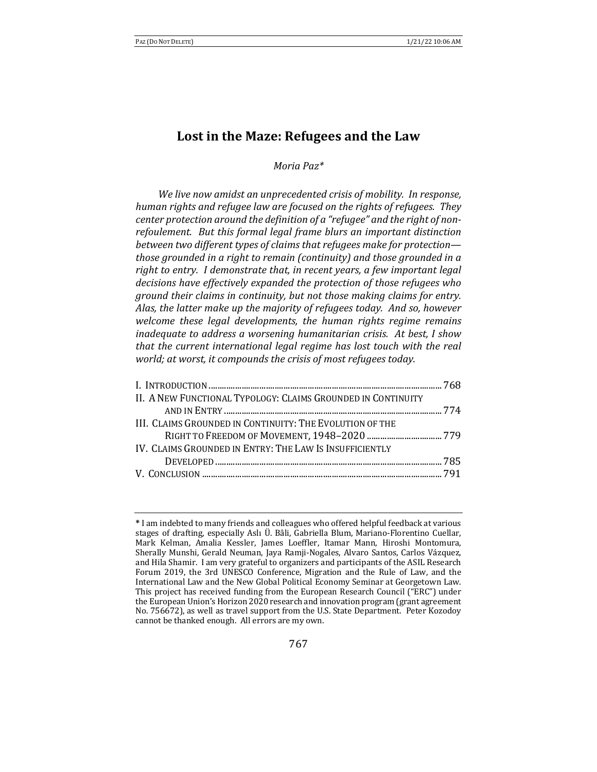# Lost in the Maze: Refugees and the Law

*Moria Paz\**

We live now amidst an unprecedented crisis of mobility. In response, *human rights and refugee law are focused on the rights of refugees. They* center protection around the definition of a "refugee" and the right of nonrefoulement. But this formal legal frame blurs an important distinction *between two different types of claims that refugees make for protection those grounded in a right to remain (continuity)* and those grounded in a *right to entry. I demonstrate that, in recent years, a few important legal* decisions have effectively expanded the protection of those refugees who *ground their claims in continuity, but not those making claims for entry.* Alas, the latter make up the majority of refugees today. And so, however *welcome these legal developments, the human rights regime remains inadequate to address a worsening humanitarian crisis. At best, I show that the current international legal regime has lost touch with the real world; at worst, it compounds the crisis of most refugees today.* 

| II. A NEW FUNCTIONAL TYPOLOGY: CLAIMS GROUNDED IN CONTINUITY   |  |
|----------------------------------------------------------------|--|
|                                                                |  |
| III. CLAIMS GROUNDED IN CONTINUITY: THE EVOLUTION OF THE       |  |
|                                                                |  |
| <b>IV. CLAIMS GROUNDED IN ENTRY: THE LAW IS INSUFFICIENTLY</b> |  |
|                                                                |  |
|                                                                |  |
|                                                                |  |

<sup>\*</sup> I am indebted to many friends and colleagues who offered helpful feedback at various stages of drafting, especially Aslı Ü. Bâli, Gabriella Blum, Mariano-Florentino Cuellar, Mark Kelman, Amalia Kessler, James Loeffler, Itamar Mann, Hiroshi Montomura, Sherally Munshi, Gerald Neuman, Jaya Ramji-Nogales, Alvaro Santos, Carlos Vázquez, and Hila Shamir. I am very grateful to organizers and participants of the ASIL Research Forum 2019, the 3rd UNESCO Conference, Migration and the Rule of Law, and the International Law and the New Global Political Economy Seminar at Georgetown Law. This project has received funding from the European Research Council ("ERC") under the European Union's Horizon 2020 research and innovation program (grant agreement No. 756672), as well as travel support from the U.S. State Department. Peter Kozodoy cannot be thanked enough. All errors are my own.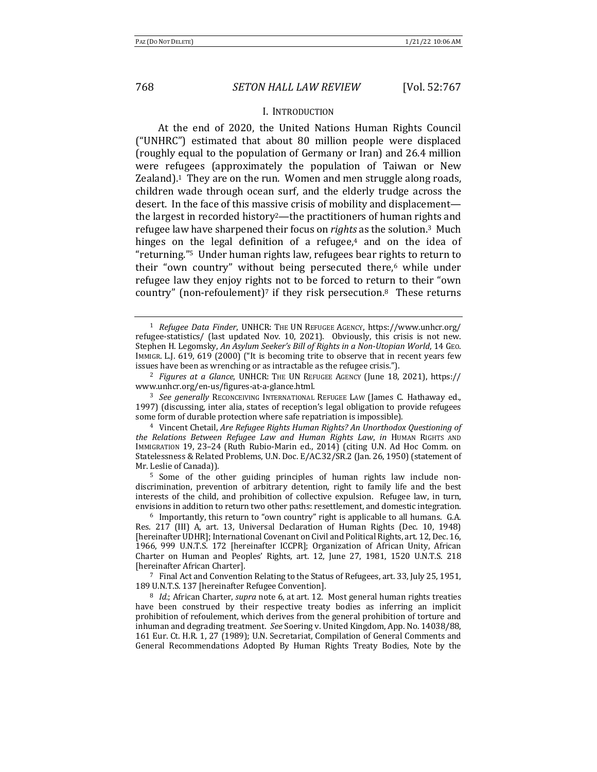### I. INTRODUCTION

At the end of 2020, the United Nations Human Rights Council ("UNHRC") estimated that about 80 million people were displaced (roughly equal to the population of Germany or Iran) and 26.4 million were refugees (approximately the population of Taiwan or New Zealand). $<sup>1</sup>$  They are on the run. Women and men struggle along roads,</sup> children wade through ocean surf, and the elderly trudge across the desert. In the face of this massive crisis of mobility and displacementthe largest in recorded history<sup>2</sup>—the practitioners of human rights and refugee law have sharpened their focus on *rights* as the solution.<sup>3</sup> Much hinges on the legal definition of a refugee,<sup>4</sup> and on the idea of "returning."<sup>5</sup> Under human rights law, refugees bear rights to return to their "own country" without being persecuted there, $6$  while under refugee law they enjoy rights not to be forced to return to their "own country" (non-refoulement)<sup>7</sup> if they risk persecution.<sup>8</sup> These returns

<sup>3</sup> See generally RECONCEIVING INTERNATIONAL REFUGEE LAW (James C. Hathaway ed., 1997) (discussing, inter alia, states of reception's legal obligation to provide refugees some form of durable protection where safe repatriation is impossible).

<sup>4</sup> Vincent Chetail, *Are Refugee Rights Human Rights? An Unorthodox Questioning of the Relations Between Refugee Law and Human Rights Law, in* HUMAN RIGHTS AND IMMIGRATION 19, 23-24 (Ruth Rubio-Marin ed., 2014) (citing U.N. Ad Hoc Comm. on Statelessness & Related Problems, U.N. Doc. E/AC.32/SR.2 (Jan. 26, 1950) (statement of Mr. Leslie of Canada)).

<sup>5</sup> Some of the other guiding principles of human rights law include nondiscrimination, prevention of arbitrary detention, right to family life and the best interests of the child, and prohibition of collective expulsion. Refugee law, in turn, envisions in addition to return two other paths: resettlement, and domestic integration.

 $6$  Importantly, this return to "own country" right is applicable to all humans. G.A. Res. 217 (III) A, art. 13, Universal Declaration of Human Rights (Dec. 10, 1948) [hereinafter UDHR]; International Covenant on Civil and Political Rights, art. 12, Dec. 16, 1966, 999 U.N.T.S. 172 [hereinafter ICCPR]; Organization of African Unity, African Charter on Human and Peoples' Rights, art. 12, June 27, 1981, 1520 U.N.T.S. 218 [hereinafter African Charter].

 $7$  Final Act and Convention Relating to the Status of Refugees, art. 33, July 25, 1951, 189 U.N.T.S. 137 [hereinafter Refugee Convention].

<sup>8</sup> *Id.*; African Charter, *supra* note 6, at art. 12. Most general human rights treaties have been construed by their respective treaty bodies as inferring an implicit prohibition of refoulement, which derives from the general prohibition of torture and inhuman and degrading treatment. See Soering v. United Kingdom, App. No. 14038/88, 161 Eur. Ct. H.R. 1, 27 (1989); U.N. Secretariat, Compilation of General Comments and General Recommendations Adopted By Human Rights Treaty Bodies, Note by the

<sup>&</sup>lt;sup>1</sup> *Refugee Data Finder*, UNHCR: THE UN REFUGEE AGENCY, https://www.unhcr.org/ refugee-statistics/ (last updated Nov. 10, 2021). Obviously, this crisis is not new. Stephen H. Legomsky, An Asylum Seeker's Bill of Rights in a Non-Utopian World, 14 GEO. IMMIGR. L.J. 619, 619 (2000) ("It is becoming trite to observe that in recent years few issues have been as wrenching or as intractable as the refugee crisis.").

<sup>&</sup>lt;sup>2</sup> *Figures at a Glance*, UNHCR: THE UN REFUGEE AGENCY (June 18, 2021), https:// www.unhcr.org/en-us/figures-at-a-glance.html.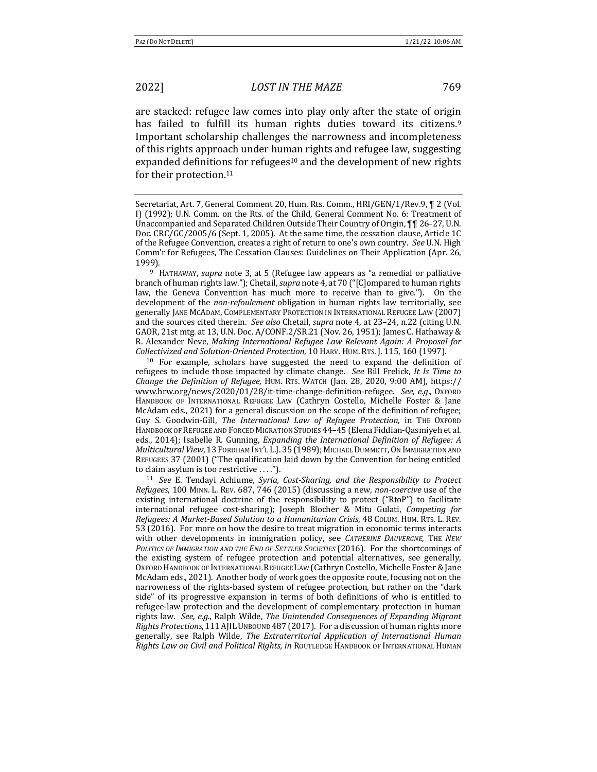are stacked: refugee law comes into play only after the state of origin has failed to fulfill its human rights duties toward its citizens.<sup>9</sup> Important scholarship challenges the narrowness and incompleteness of this rights approach under human rights and refugee law, suggesting expanded definitions for refugees<sup>10</sup> and the development of new rights for their protection.<sup>11</sup>

<sup>9</sup> HATHAWAY, *supra* note 3, at 5 (Refugee law appears as "a remedial or palliative branch of human rights law."); Chetail, *supra* note 4, at 70 ("[C]ompared to human rights law, the Geneva Convention has much more to receive than to give."). On the development of the *non-refoulement* obligation in human rights law territorially, see generally JANE MCADAM, COMPLEMENTARY PROTECTION IN INTERNATIONAL REFUGEE LAW (2007) and the sources cited therein. See also Chetail, *supra* note 4, at 23-24, n.22 (citing U.N. GAOR, 21st mtg. at 13, U.N. Doc.  $A/CONF.2/SR.21$  (Nov. 26, 1951); James C. Hathaway & R. Alexander Neve, *Making International Refugee Law Relevant Again: A Proposal for Collectivized and Solution-Oriented Protection*, 10 HARV. HUM. RTS. J. 115, 160 (1997).

 $10$  For example, scholars have suggested the need to expand the definition of refugees to include those impacted by climate change. See Bill Frelick, *It Is Time to Change the Definition of Refugee*, HUM. RTS. WATCH (Jan. 28, 2020, 9:00 AM), https:// www.hrw.org/news/2020/01/28/it-time-change-definition-refugee. See, e.g., OXFORD HANDBOOK OF INTERNATIONAL REFUGEE LAW (Cathryn Costello, Michelle Foster & Jane McAdam eds.,  $2021$  for a general discussion on the scope of the definition of refugee; Guy S. Goodwin-Gill, *The International Law of Refugee Protection*, in THE OXFORD HANDBOOK OF REFUGEE AND FORCED MIGRATION STUDIES 44-45 (Elena Fiddian-Qasmiyeh et al. eds., 2014); Isabelle R. Gunning, *Expanding the International Definition of Refugee: A Multicultural View*, 13 FORDHAM INT'L L.J. 35 (1989); MICHAEL DUMMETT, ON IMMIGRATION AND REFUGEES 37 (2001) ("The qualification laid down by the Convention for being entitled to claim asylum is too restrictive ....").

<sup>11</sup> See E. Tendayi Achiume, Syria, Cost-Sharing, and the Responsibility to Protect *Refugees*, 100 MINN. L. REV. 687, 746 (2015) (discussing a new, *non-coercive* use of the existing international doctrine of the responsibility to protect ("RtoP") to facilitate international refugee cost-sharing); Joseph Blocher & Mitu Gulati, *Competing for Refugees: A Market-Based Solution to a Humanitarian Crisis*, 48 COLUM. HUM. RTS. L. REV. 53 (2016). For more on how the desire to treat migration in economic terms interacts with other developments in immigration policy, see *CATHERINE DAUVERGNE*, THE NEW POLITICS OF IMMIGRATION AND THE END OF SETTLER SOCIETIES (2016). For the shortcomings of the existing system of refugee protection and potential alternatives, see generally, OXFORD HANDBOOK OF INTERNATIONAL REFUGEE LAW (Cathryn Costello, Michelle Foster & Jane McAdam eds., 2021). Another body of work goes the opposite route, focusing not on the narrowness of the rights-based system of refugee protection, but rather on the "dark side" of its progressive expansion in terms of both definitions of who is entitled to refugee-law protection and the development of complementary protection in human rights law. See, e.g., Ralph Wilde, *The Unintended Consequences of Expanding Migrant Rights Protections*, 111 AJIL UNBOUND 487 (2017). For a discussion of human rights more generally, see Ralph Wilde, *The Extraterritorial Application of International Human Rights Law on Civil and Political Rights, in ROUTLEDGE HANDBOOK OF INTERNATIONAL HUMAN* 

Secretariat, Art. 7, General Comment 20, Hum. Rts. Comm., HRI/GEN/1/Rev.9, ¶ 2 (Vol. I) (1992); U.N. Comm. on the Rts. of the Child, General Comment No. 6: Treatment of Unaccompanied and Separated Children Outside Their Country of Origin,  $\P$  16–27, U.N. Doc. CRC/GC/2005/6 (Sept. 1, 2005). At the same time, the cessation clause, Article 1C of the Refugee Convention, creates a right of return to one's own country. See U.N. High Comm'r for Refugees, The Cessation Clauses: Guidelines on Their Application (Apr. 26, 1999).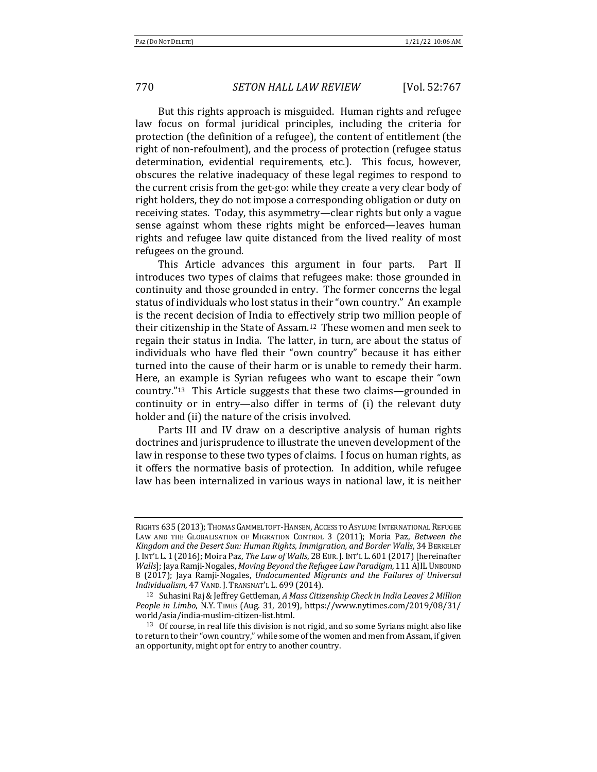But this rights approach is misguided. Human rights and refugee law focus on formal juridical principles, including the criteria for protection (the definition of a refugee), the content of entitlement (the right of non-refoulment), and the process of protection (refugee status determination, evidential requirements, etc.). This focus, however, obscures the relative inadequacy of these legal regimes to respond to the current crisis from the get-go: while they create a very clear body of right holders, they do not impose a corresponding obligation or duty on receiving states. Today, this asymmetry—clear rights but only a vague sense against whom these rights might be enforced—leaves human rights and refugee law quite distanced from the lived reality of most refugees on the ground.

This Article advances this argument in four parts. Part II introduces two types of claims that refugees make: those grounded in continuity and those grounded in entry. The former concerns the legal status of individuals who lost status in their "own country." An example is the recent decision of India to effectively strip two million people of their citizenship in the State of Assam.<sup>12</sup> These women and men seek to regain their status in India. The latter, in turn, are about the status of individuals who have fled their "own country" because it has either turned into the cause of their harm or is unable to remedy their harm. Here, an example is Syrian refugees who want to escape their "own country."<sup>13</sup> This Article suggests that these two claims—grounded in continuity or in entry—also differ in terms of  $(i)$  the relevant duty holder and (ii) the nature of the crisis involved.

Parts III and IV draw on a descriptive analysis of human rights doctrines and jurisprudence to illustrate the uneven development of the law in response to these two types of claims. I focus on human rights, as it offers the normative basis of protection. In addition, while refugee law has been internalized in various ways in national law, it is neither

RIGHTS 635 (2013); THOMAS GAMMELTOFT-HANSEN, ACCESS TO ASYLUM: INTERNATIONAL REFUGEE LAW AND THE GLOBALISATION OF MIGRATION CONTROL 3 (2011); Moria Paz, Between the Kingdom and the Desert Sun: Human Rights, Immigration, and Border Walls, 34 BERKELEY J. INT'L L. 1 (2016); Moira Paz, The Law of Walls, 28 EUR. J. INT'L L. 601 (2017) [hereinafter *Walls*]; Jaya Ramji-Nogales, *Moving Beyond the Refugee Law Paradigm*, 111 AJIL UNBOUND 8 (2017); Jaya Ramji-Nogales, *Undocumented Migrants and the Failures of Universal Individualism, 47 VAND. J. TRANSNAT'L L. 699 (2014).* 

<sup>&</sup>lt;sup>12</sup> Suhasini Raj & Jeffrey Gettleman, *A Mass Citizenship Check in India Leaves 2 Million People in Limbo*, N.Y. TIMES (Aug. 31, 2019), https://www.nytimes.com/2019/08/31/ world/asia/india-muslim-citizen-list.html.

<sup>13</sup> Of course, in real life this division is not rigid, and so some Syrians might also like to return to their "own country," while some of the women and men from Assam, if given an opportunity, might opt for entry to another country.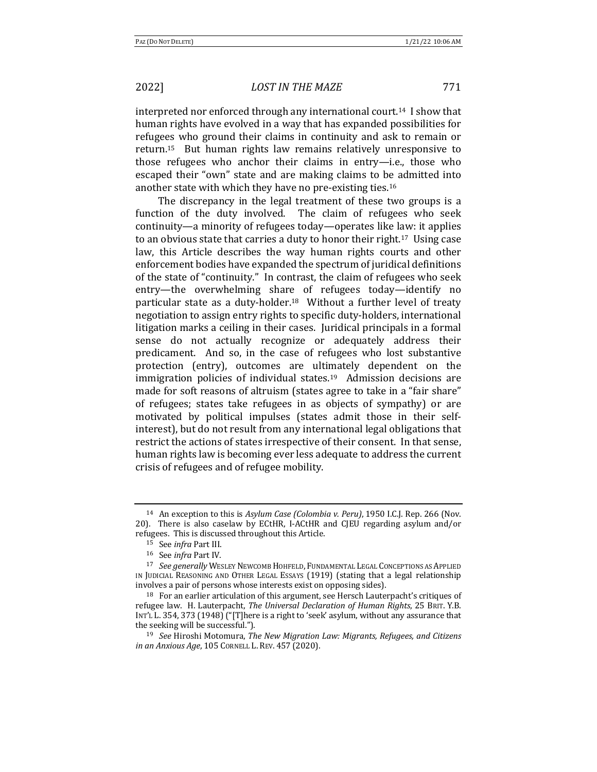interpreted nor enforced through any international court.<sup>14</sup> I show that human rights have evolved in a way that has expanded possibilities for refugees who ground their claims in continuity and ask to remain or return.<sup>15</sup> But human rights law remains relatively unresponsive to those refugees who anchor their claims in entry-i.e., those who escaped their "own" state and are making claims to be admitted into another state with which they have no pre-existing ties.<sup>16</sup>

The discrepancy in the legal treatment of these two groups is a function of the duty involved. The claim of refugees who seek continuity—a minority of refugees today—operates like law: it applies to an obvious state that carries a duty to honor their right.<sup>17</sup> Using case law, this Article describes the way human rights courts and other enforcement bodies have expanded the spectrum of juridical definitions of the state of "continuity." In contrast, the claim of refugees who seek entry—the overwhelming share of refugees today—identify no particular state as a duty-holder.<sup>18</sup> Without a further level of treaty negotiation to assign entry rights to specific duty-holders, international litigation marks a ceiling in their cases. Juridical principals in a formal sense do not actually recognize or adequately address their predicament. And so, in the case of refugees who lost substantive protection (entry), outcomes are ultimately dependent on the immigration policies of individual states.<sup>19</sup> Admission decisions are made for soft reasons of altruism (states agree to take in a "fair share" of refugees; states take refugees in as objects of sympathy) or are motivated by political impulses (states admit those in their selfinterest), but do not result from any international legal obligations that restrict the actions of states irrespective of their consent. In that sense, human rights law is becoming ever less adequate to address the current crisis of refugees and of refugee mobility.

<sup>&</sup>lt;sup>14</sup> An exception to this is *Asylum Case (Colombia v. Peru)*, 1950 I.C.J. Rep. 266 (Nov. 20). There is also caselaw by ECtHR, I-ACtHR and CJEU regarding asylum and/or refugees. This is discussed throughout this Article.

<sup>15</sup> See *infra* Part III.

<sup>16</sup> See *infra* Part IV.

<sup>&</sup>lt;sup>17</sup> See generally WESLEY NEWCOMB HOHFELD, FUNDAMENTAL LEGAL CONCEPTIONS AS APPLIED IN JUDICIAL REASONING AND OTHER LEGAL ESSAYS (1919) (stating that a legal relationship involves a pair of persons whose interests exist on opposing sides).

 $18$  For an earlier articulation of this argument, see Hersch Lauterpacht's critiques of refugee law. H. Lauterpacht, *The Universal Declaration of Human Rights*, 25 BRIT. Y.B. INT'L L. 354, 373 (1948) ("[T]here is a right to 'seek' asylum, without any assurance that the seeking will be successful.").

<sup>19</sup> *See* Hiroshi Motomura, *The New Migration Law: Migrants, Refugees, and Citizens in an Anxious Age*, 105 CORNELL L. REV. 457 (2020).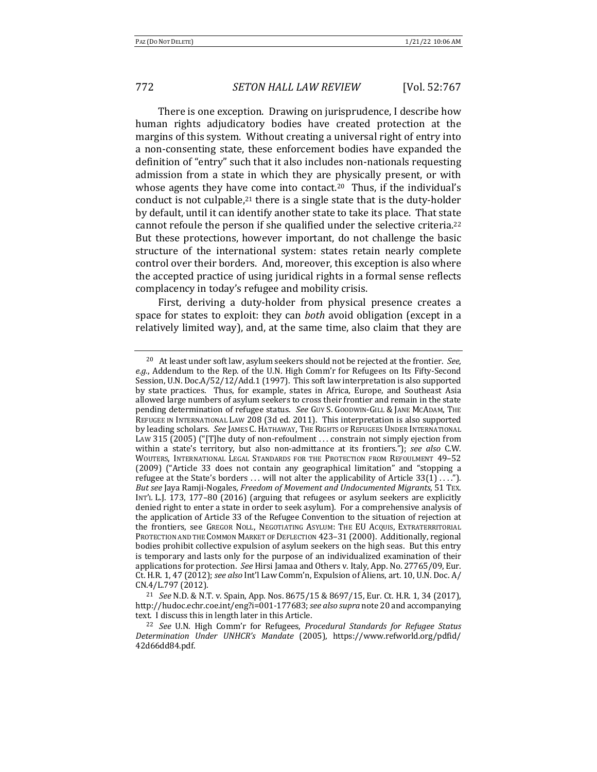There is one exception. Drawing on jurisprudence, I describe how human rights adjudicatory bodies have created protection at the margins of this system. Without creating a universal right of entry into a non-consenting state, these enforcement bodies have expanded the definition of "entry" such that it also includes non-nationals requesting admission from a state in which they are physically present, or with whose agents they have come into contact.<sup>20</sup> Thus, if the individual's conduct is not culpable,<sup>21</sup> there is a single state that is the duty-holder by default, until it can identify another state to take its place. That state cannot refoule the person if she qualified under the selective criteria.<sup>22</sup> But these protections, however important, do not challenge the basic structure of the international system: states retain nearly complete control over their borders. And, moreover, this exception is also where the accepted practice of using juridical rights in a formal sense reflects complacency in today's refugee and mobility crisis.

First, deriving a duty-holder from physical presence creates a space for states to exploit: they can *both* avoid obligation (except in a relatively limited way), and, at the same time, also claim that they are

<sup>&</sup>lt;sup>20</sup> At least under soft law, asylum seekers should not be rejected at the frontier. See, e.g., Addendum to the Rep. of the U.N. High Comm'r for Refugees on Its Fifty-Second Session, U.N. Doc.A/52/12/Add.1 (1997). This soft law interpretation is also supported by state practices. Thus, for example, states in Africa, Europe, and Southeast Asia allowed large numbers of asylum seekers to cross their frontier and remain in the state pending determination of refugee status. See GUY S. GOODWIN-GILL & JANE MCADAM, THE REFUGEE IN INTERNATIONAL LAW 208 (3d ed. 2011). This interpretation is also supported by leading scholars. See JAMES C. HATHAWAY, THE RIGHTS OF REFUGEES UNDER INTERNATIONAL LAW 315 (2005) ("[T]he duty of non-refoulment ... constrain not simply ejection from within a state's territory, but also non-admittance at its frontiers."); see also C.W. WOUTERS, INTERNATIONAL LEGAL STANDARDS FOR THE PROTECTION FROM REFOULMENT 49-52  $(2009)$  ("Article 33 does not contain any geographical limitation" and "stopping a refugee at the State's borders ... will not alter the applicability of Article  $33(1) \ldots$ "). *But see* Jaya Ramji-Nogales, *Freedom of Movement and Undocumented Migrants*, 51 TEX. INT'L L.J. 173, 177-80 (2016) (arguing that refugees or asylum seekers are explicitly denied right to enter a state in order to seek asylum). For a comprehensive analysis of the application of Article 33 of the Refugee Convention to the situation of rejection at the frontiers, see GREGOR NOLL, NEGOTIATING ASYLUM: THE EU ACQUIS, EXTRATERRITORIAL PROTECTION AND THE COMMON MARKET OF DEFLECTION 423-31 (2000). Additionally, regional bodies prohibit collective expulsion of asylum seekers on the high seas. But this entry is temporary and lasts only for the purpose of an individualized examination of their applications for protection. See Hirsi Jamaa and Others v. Italy, App. No. 27765/09, Eur. Ct. H.R. 1, 47 (2012); see also Int'l Law Comm'n, Expulsion of Aliens, art. 10, U.N. Doc. A/ CN.4/L.797 (2012).

<sup>&</sup>lt;sup>21</sup> *See* N.D. & N.T. v. Spain, App. Nos. 8675/15 & 8697/15, Eur. Ct. H.R. 1, 34 (2017), http://hudoc.echr.coe.int/eng?i=001-177683; see also supra note 20 and accompanying text. I discuss this in length later in this Article.

<sup>&</sup>lt;sup>22</sup> See U.N. High Comm'r for Refugees, *Procedural Standards for Refugee Status Determination Under UNHCR's Mandate* (2005), https://www.refworld.org/pdfid/ 42d66dd84.pdf.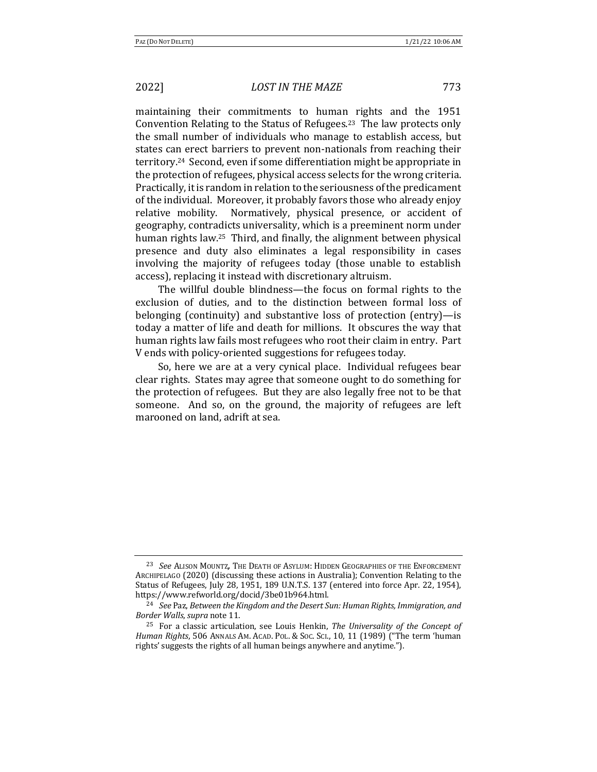maintaining their commitments to human rights and the 1951 Convention Relating to the Status of Refugees.<sup>23</sup> The law protects only the small number of individuals who manage to establish access, but states can erect barriers to prevent non-nationals from reaching their territory.<sup>24</sup> Second, even if some differentiation might be appropriate in the protection of refugees, physical access selects for the wrong criteria. Practically, it is random in relation to the seriousness of the predicament of the individual. Moreover, it probably favors those who already enjoy relative mobility. Normatively, physical presence, or accident of geography, contradicts universality, which is a preeminent norm under human rights law.<sup>25</sup> Third, and finally, the alignment between physical presence and duty also eliminates a legal responsibility in cases involving the majority of refugees today (those unable to establish access), replacing it instead with discretionary altruism.

The willful double blindness—the focus on formal rights to the exclusion of duties, and to the distinction between formal loss of belonging (continuity) and substantive loss of protection  $(entry)$ —is today a matter of life and death for millions. It obscures the way that human rights law fails most refugees who root their claim in entry. Part V ends with policy-oriented suggestions for refugees today.

So, here we are at a very cynical place. Individual refugees bear clear rights. States may agree that someone ought to do something for the protection of refugees. But they are also legally free not to be that someone. And so, on the ground, the majority of refugees are left marooned on land, adrift at sea.

<sup>&</sup>lt;sup>23</sup> See Alison Mountz, The Death of Asylum: Hidden Geographies of the Enforcement ARCHIPELAGO (2020) (discussing these actions in Australia); Convention Relating to the Status of Refugees, July 28, 1951, 189 U.N.T.S. 137 (entered into force Apr. 22, 1954), https://www.refworld.org/docid/3be01b964.html.

<sup>&</sup>lt;sup>24</sup> See Paz, Between the Kingdom and the Desert Sun: Human Rights, Immigration, and *Border Walls*, *supra* note 11.

<sup>&</sup>lt;sup>25</sup> For a classic articulation, see Louis Henkin, *The Universality of the Concept of Human Rights*, 506 ANNALS AM. ACAD. POL. & Soc. ScI., 10, 11 (1989) ("The term 'human rights' suggests the rights of all human beings anywhere and anytime.").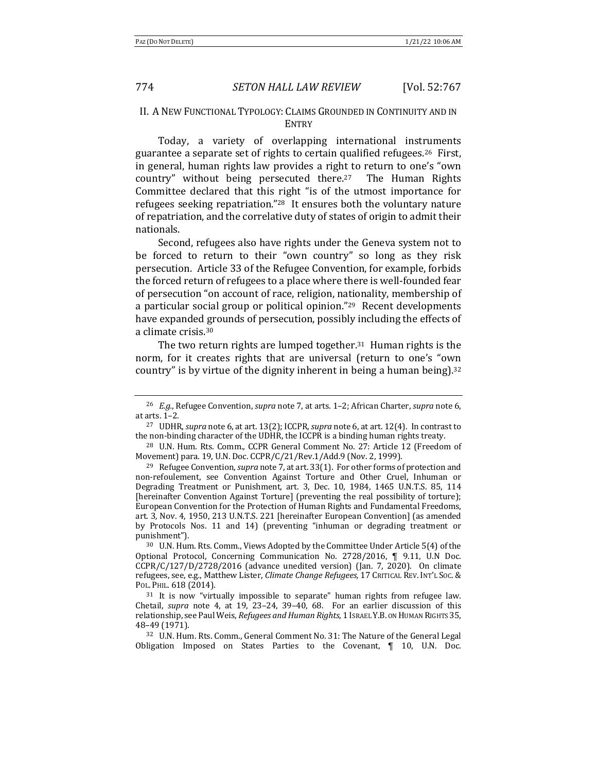### II. A NEW FUNCTIONAL TYPOLOGY: CLAIMS GROUNDED IN CONTINUITY AND IN **ENTRY**

Today, a variety of overlapping international instruments guarantee a separate set of rights to certain qualified refugees.<sup>26</sup> First, in general, human rights law provides a right to return to one's "own country" without being persecuted there.<sup>27</sup> The Human Rights Committee declared that this right "is of the utmost importance for refugees seeking repatriation."<sup>28</sup> It ensures both the voluntary nature of repatriation, and the correlative duty of states of origin to admit their nationals.

Second, refugees also have rights under the Geneva system not to be forced to return to their "own country" so long as they risk persecution. Article 33 of the Refugee Convention, for example, forbids the forced return of refugees to a place where there is well-founded fear of persecution "on account of race, religion, nationality, membership of a particular social group or political opinion." $29$  Recent developments have expanded grounds of persecution, possibly including the effects of a climate crisis.<sup>30</sup>

The two return rights are lumped together.<sup>31</sup> Human rights is the norm, for it creates rights that are universal (return to one's "own country" is by virtue of the dignity inherent in being a human being).<sup>32</sup>

<sup>&</sup>lt;sup>26</sup> *E.g.*, Refugee Convention, *supra* note 7, at arts. 1–2; African Charter, *supra* note 6, at arts.  $1-2$ .

<sup>&</sup>lt;sup>27</sup> UDHR, *supra* note 6, at art. 13(2); ICCPR, *supra* note 6, at art. 12(4). In contrast to the non-binding character of the UDHR, the ICCPR is a binding human rights treaty.

<sup>&</sup>lt;sup>28</sup> U.N. Hum. Rts. Comm., CCPR General Comment No. 27: Article 12 (Freedom of Movement) para. 19, U.N. Doc. CCPR/C/21/Rev.1/Add.9 (Nov. 2, 1999).

<sup>&</sup>lt;sup>29</sup> Refugee Convention, *supra* note 7, at art. 33(1). For other forms of protection and non-refoulement, see Convention Against Torture and Other Cruel, Inhuman or Degrading Treatment or Punishment, art. 3, Dec. 10, 1984, 1465 U.N.T.S. 85, 114 [hereinafter Convention Against Torture] (preventing the real possibility of torture); European Convention for the Protection of Human Rights and Fundamental Freedoms, art. 3, Nov. 4, 1950, 213 U.N.T.S. 221 [hereinafter European Convention] (as amended by Protocols Nos. 11 and 14) (preventing "inhuman or degrading treatment or punishment").

<sup>&</sup>lt;sup>30</sup> U.N. Hum. Rts. Comm., Views Adopted by the Committee Under Article 5(4) of the Optional Protocol, Concerning Communication No. 2728/2016, ¶ 9.11, U.N Doc.  $CCPR/C/127/D/2728/2016$  (advance unedited version) (Jan. 7, 2020). On climate refugees, see, e.g., Matthew Lister, *Climate Change Refugees*, 17 CRITICAL REV. INT'L Soc. & POL. PHIL. 618 (2014).

 $31$  It is now "virtually impossible to separate" human rights from refugee law. Chetail, *supra* note 4, at 19, 23-24, 39-40, 68. For an earlier discussion of this relationship, see Paul Weis, *Refugees and Human Rights*, 1 Israel Y.B. ON HUMAN RIGHTS 35, 48–49 (1971).

<sup>&</sup>lt;sup>32</sup> U.N. Hum. Rts. Comm., General Comment No. 31: The Nature of the General Legal Obligation Imposed on States Parties to the Covenant,  $\P$  10, U.N. Doc.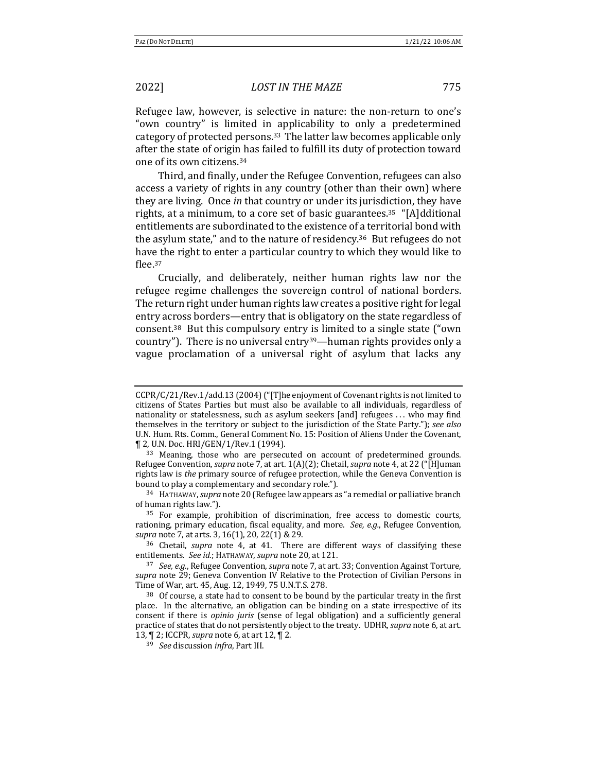Refugee law, however, is selective in nature: the non-return to one's "own country" is limited in applicability to only a predetermined category of protected persons.<sup>33</sup> The latter law becomes applicable only after the state of origin has failed to fulfill its duty of protection toward one of its own citizens.<sup>34</sup>

Third, and finally, under the Refugee Convention, refugees can also access a variety of rights in any country (other than their own) where they are living. Once *in* that country or under its jurisdiction, they have rights, at a minimum, to a core set of basic guarantees.<sup>35</sup> "[A]dditional entitlements are subordinated to the existence of a territorial bond with the asylum state," and to the nature of residency.<sup>36</sup> But refugees do not have the right to enter a particular country to which they would like to flee.37

Crucially, and deliberately, neither human rights law nor the refugee regime challenges the sovereign control of national borders. The return right under human rights law creates a positive right for legal entry across borders—entry that is obligatory on the state regardless of consent.<sup>38</sup> But this compulsory entry is limited to a single state  $($ "own country"). There is no universal entry<sup>39</sup>—human rights provides only a vague proclamation of a universal right of asylum that lacks any

<sup>34</sup> HATHAWAY, *supra* note 20 (Refugee law appears as "a remedial or palliative branch of human rights law.").

<sup>35</sup> For example, prohibition of discrimination, free access to domestic courts, rationing, primary education, fiscal equality, and more. See, e.g., Refugee Convention, *supra* note 7, at arts. 3, 16(1), 20, 22(1) & 29.

<sup>36</sup> Chetail, *supra* note 4, at 41. There are different ways of classifying these entitlements. See id.; HATHAWAY, supra note 20, at 121.

37 *See, e.g.*, Refugee Convention, *supra* note 7, at art. 33; Convention Against Torture, *supra* note 29; Geneva Convention IV Relative to the Protection of Civilian Persons in Time of War, art. 45, Aug. 12, 1949, 75 U.N.T.S. 278.

 $38$  Of course, a state had to consent to be bound by the particular treaty in the first place. In the alternative, an obligation can be binding on a state irrespective of its consent if there is *opinio juris* (sense of legal obligation) and a sufficiently general practice of states that do not persistently object to the treaty. UDHR, *supra* note 6, at art. 13,  $\P$  2; ICCPR, *supra* note 6, at art 12,  $\P$  2.

<sup>39</sup> *See* discussion *infra*, Part III.

CCPR/C/21/Rev.1/add.13 (2004) ("[T]he enjoyment of Covenant rights is not limited to citizens of States Parties but must also be available to all individuals, regardless of nationality or statelessness, such as asylum seekers  $[and]$  refugees  $\dots$  who may find themselves in the territory or subject to the jurisdiction of the State Party."); see also U.N. Hum. Rts. Comm., General Comment No. 15: Position of Aliens Under the Covenant, ¶ 2, U.N. Doc. HRI/GEN/1/Rev.1 (1994).

<sup>33</sup> Meaning, those who are persecuted on account of predetermined grounds. Refugee Convention, *supra* note 7, at art. 1(A)(2); Chetail, *supra* note 4, at 22 ("[H]uman rights law is *the* primary source of refugee protection, while the Geneva Convention is bound to play a complementary and secondary role.").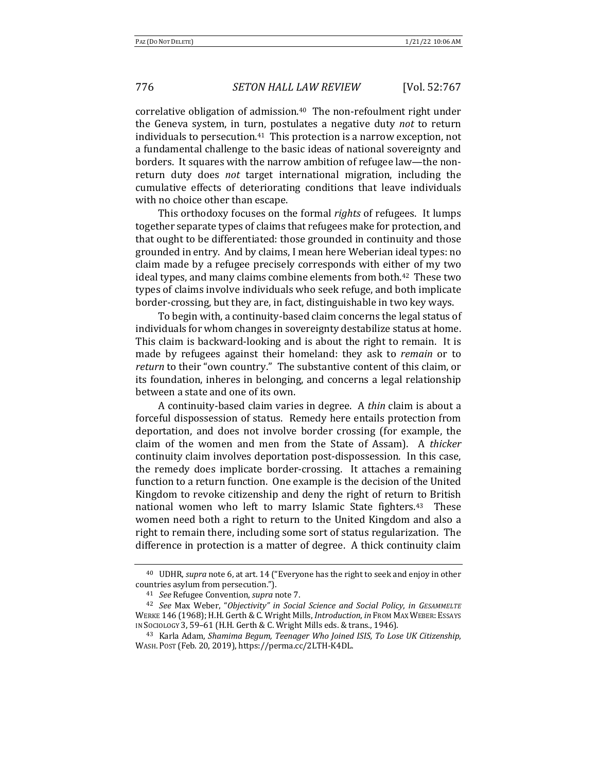correlative obligation of admission.<sup>40</sup> The non-refoulment right under the Geneva system, in turn, postulates a negative duty *not* to return individuals to persecution.<sup>41</sup> This protection is a narrow exception, not a fundamental challenge to the basic ideas of national sovereignty and borders. It squares with the narrow ambition of refugee law—the nonreturn duty does *not* target international migration, including the cumulative effects of deteriorating conditions that leave individuals with no choice other than escape.

This orthodoxy focuses on the formal *rights* of refugees. It lumps together separate types of claims that refugees make for protection, and that ought to be differentiated: those grounded in continuity and those grounded in entry. And by claims, I mean here Weberian ideal types: no claim made by a refugee precisely corresponds with either of my two ideal types, and many claims combine elements from both.<sup>42</sup> These two types of claims involve individuals who seek refuge, and both implicate border-crossing, but they are, in fact, distinguishable in two key ways.

To begin with, a continuity-based claim concerns the legal status of individuals for whom changes in sovereignty destabilize status at home. This claim is backward-looking and is about the right to remain. It is made by refugees against their homeland: they ask to *remain* or to *return* to their "own country." The substantive content of this claim, or its foundation, inheres in belonging, and concerns a legal relationship between a state and one of its own.

A continuity-based claim varies in degree. A *thin* claim is about a forceful dispossession of status. Remedy here entails protection from deportation, and does not involve border crossing (for example, the claim of the women and men from the State of Assam). A *thicker* continuity claim involves deportation post-dispossession. In this case, the remedy does implicate border-crossing. It attaches a remaining function to a return function. One example is the decision of the United Kingdom to revoke citizenship and deny the right of return to British national women who left to marry Islamic State fighters.<sup>43</sup> These women need both a right to return to the United Kingdom and also a right to remain there, including some sort of status regularization. The difference in protection is a matter of degree. A thick continuity claim

<sup>&</sup>lt;sup>40</sup> UDHR, *supra* note 6, at art. 14 ("Everyone has the right to seek and enjoy in other countries asylum from persecution.").

<sup>&</sup>lt;sup>41</sup> *See* Refugee Convention, *supra* note 7.

<sup>42</sup> *See* Max Weber, "*Objectivity" in Social Science and Social Policy*, *in GESAMMELTE* WERKE 146 (1968); H.H. Gerth & C. Wright Mills, *Introduction*, *in* FROM MAX WEBER: ESSAYS IN SOCIOLOGY 3, 59-61 (H.H. Gerth & C. Wright Mills eds. & trans., 1946).

<sup>&</sup>lt;sup>43</sup> Karla Adam, *Shamima Begum, Teenager Who Joined ISIS, To Lose UK Citizenship,* WASH. POST (Feb. 20, 2019), https://perma.cc/2LTH-K4DL.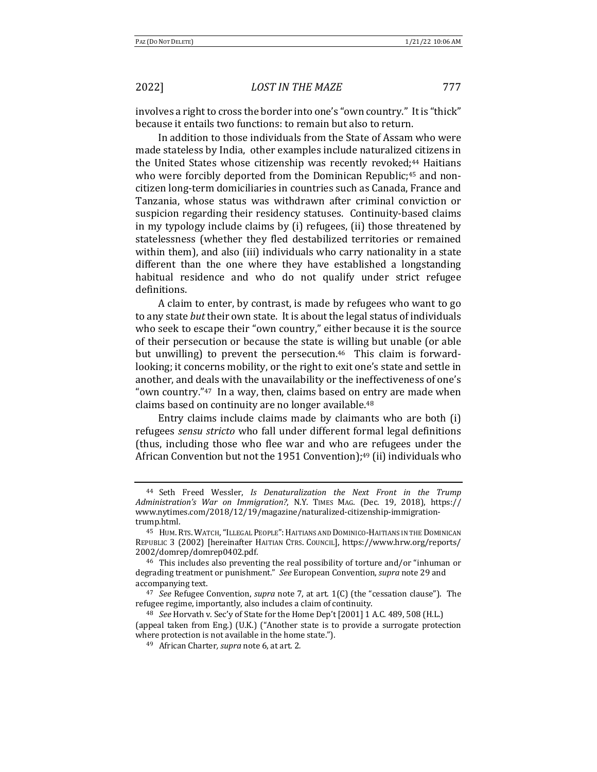involves a right to cross the border into one's "own country." It is "thick" because it entails two functions: to remain but also to return.

In addition to those individuals from the State of Assam who were made stateless by India, other examples include naturalized citizens in the United States whose citizenship was recently revoked;<sup>44</sup> Haitians who were forcibly deported from the Dominican Republic;<sup>45</sup> and noncitizen long-term domiciliaries in countries such as Canada, France and Tanzania, whose status was withdrawn after criminal conviction or suspicion regarding their residency statuses. Continuity-based claims in my typology include claims by  $(i)$  refugees,  $(ii)$  those threatened by statelessness (whether they fled destabilized territories or remained within them), and also (iii) individuals who carry nationality in a state different than the one where they have established a longstanding habitual residence and who do not qualify under strict refugee definitions.

A claim to enter, by contrast, is made by refugees who want to go to any state *but* their own state. It is about the legal status of individuals who seek to escape their "own country," either because it is the source of their persecution or because the state is willing but unable (or able but unwilling) to prevent the persecution.<sup>46</sup> This claim is forwardlooking; it concerns mobility, or the right to exit one's state and settle in another, and deals with the unavailability or the ineffectiveness of one's "own country." $47$  In a way, then, claims based on entry are made when claims based on continuity are no longer available.<sup>48</sup>

Entry claims include claims made by claimants who are both  $(i)$ refugees *sensu stricto* who fall under different formal legal definitions (thus, including those who flee war and who are refugees under the African Convention but not the 1951 Convention);<sup>49</sup> (ii) individuals who

<sup>&</sup>lt;sup>44</sup> Seth Freed Wessler, *Is Denaturalization the Next Front in the Trump Administration's War on Immigration?*, N.Y. TIMES MAG. (Dec. 19, 2018), https:// www.nytimes.com/2018/12/19/magazine/naturalized-citizenship-immigrationtrump.html.

<sup>&</sup>lt;sup>45</sup> HUM. RTS. WATCH, "ILLEGAL PEOPLE": HAITIANS AND DOMINICO-HAITIANS IN THE DOMINICAN REPUBLIC 3 (2002) [hereinafter HAITIAN CTRS. COUNCIL], https://www.hrw.org/reports/ 2002/domrep/domrep0402.pdf.

<sup>&</sup>lt;sup>46</sup> This includes also preventing the real possibility of torture and/or "inhuman or degrading treatment or punishment." See European Convention, *supra* note 29 and accompanying text.

<sup>&</sup>lt;sup>47</sup> *See* Refugee Convention, *supra* note 7, at art. 1(C) (the "cessation clause"). The refugee regime, importantly, also includes a claim of continuity.

<sup>&</sup>lt;sup>48</sup> *See* Horvath v. Sec'y of State for the Home Dep't [2001] 1 A.C. 489, 508 (H.L.) (appeal taken from Eng.) (U.K.) ("Another state is to provide a surrogate protection where protection is not available in the home state.").

<sup>49</sup> African Charter, *supra* note 6, at art. 2.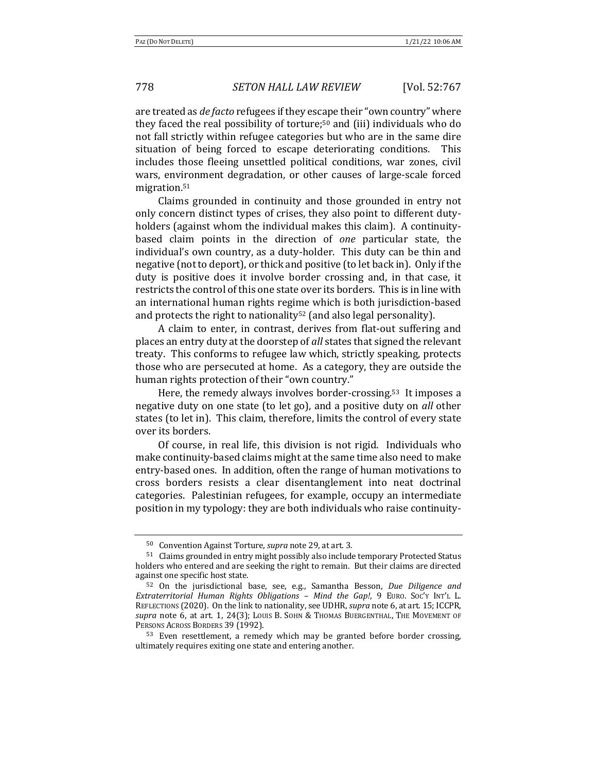are treated as *de facto* refugees if they escape their "own country" where they faced the real possibility of torture;<sup>50</sup> and (iii) individuals who do not fall strictly within refugee categories but who are in the same dire situation of being forced to escape deteriorating conditions. This includes those fleeing unsettled political conditions, war zones, civil wars, environment degradation, or other causes of large-scale forced migration.51

Claims grounded in continuity and those grounded in entry not only concern distinct types of crises, they also point to different dutyholders (against whom the individual makes this claim). A continuitybased claim points in the direction of *one* particular state, the individual's own country, as a duty-holder. This duty can be thin and negative (not to deport), or thick and positive (to let back in). Only if the duty is positive does it involve border crossing and, in that case, it restricts the control of this one state over its borders. This is in line with an international human rights regime which is both jurisdiction-based and protects the right to nationality<sup>52</sup> (and also legal personality).

A claim to enter, in contrast, derives from flat-out suffering and places an entry duty at the doorstep of *all* states that signed the relevant treaty. This conforms to refugee law which, strictly speaking, protects those who are persecuted at home. As a category, they are outside the human rights protection of their "own country."

Here, the remedy always involves border-crossing.<sup>53</sup> It imposes a negative duty on one state (to let go), and a positive duty on *all* other states (to let in). This claim, therefore, limits the control of every state over its borders.

Of course, in real life, this division is not rigid. Individuals who make continuity-based claims might at the same time also need to make entry-based ones. In addition, often the range of human motivations to cross borders resists a clear disentanglement into neat doctrinal categories. Palestinian refugees, for example, occupy an intermediate position in my typology: they are both individuals who raise continuity-

<sup>50</sup> Convention Against Torture, *supra* note 29, at art. 3.

<sup>51</sup> Claims grounded in entry might possibly also include temporary Protected Status holders who entered and are seeking the right to remain. But their claims are directed against one specific host state.

<sup>52</sup> On the jurisdictional base, see, e.g., Samantha Besson, *Due Diligence and Extraterritorial Human Rights Obligations – Mind the Gap!*, 9 EURO. SOC'Y INT'L L. REFLECTIONS (2020). On the link to nationality, see UDHR, *supra* note 6, at art. 15; ICCPR, supra note 6, at art. 1, 24(3); Louis B. Sohn & Thomas Buergenthal, The Movement of PERSONS ACROSS BORDERS 39 (1992).

<sup>53</sup> Even resettlement, a remedy which may be granted before border crossing, ultimately requires exiting one state and entering another.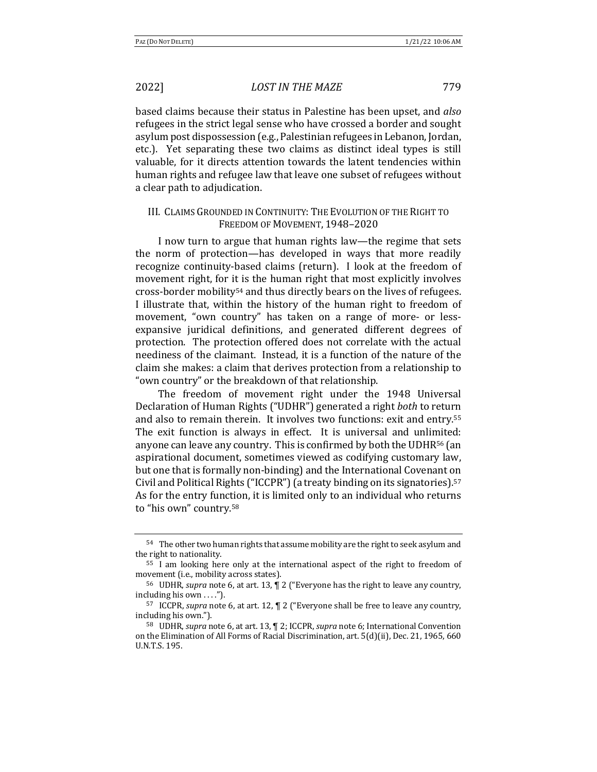based claims because their status in Palestine has been upset, and also refugees in the strict legal sense who have crossed a border and sought asylum post dispossession (e.g., Palestinian refugees in Lebanon, Jordan, etc.). Yet separating these two claims as distinct ideal types is still valuable, for it directs attention towards the latent tendencies within human rights and refugee law that leave one subset of refugees without a clear path to adjudication.

# III. CLAIMS GROUNDED IN CONTINUITY: THE EVOLUTION OF THE RIGHT TO FREEDOM OF MOVEMENT, 1948-2020

I now turn to argue that human rights law—the regime that sets the norm of protection—has developed in ways that more readily recognize continuity-based claims (return). I look at the freedom of movement right, for it is the human right that most explicitly involves cross-border mobility<sup>54</sup> and thus directly bears on the lives of refugees. I illustrate that, within the history of the human right to freedom of movement, "own country" has taken on a range of more- or lessexpansive juridical definitions, and generated different degrees of protection. The protection offered does not correlate with the actual neediness of the claimant. Instead, it is a function of the nature of the claim she makes: a claim that derives protection from a relationship to "own country" or the breakdown of that relationship.

The freedom of movement right under the 1948 Universal Declaration of Human Rights ("UDHR") generated a right both to return and also to remain therein. It involves two functions: exit and entry.<sup>55</sup> The exit function is always in effect. It is universal and unlimited: anyone can leave any country. This is confirmed by both the UDHR<sup>56</sup> (an aspirational document, sometimes viewed as codifying customary law, but one that is formally non-binding) and the International Covenant on Civil and Political Rights ("ICCPR") (a treaty binding on its signatories).<sup>57</sup> As for the entry function, it is limited only to an individual who returns to "his own" country.<sup>58</sup>

 $^{54}\;$  The other two human rights that assume mobility are the right to seek asylum and the right to nationality.

 $55$  I am looking here only at the international aspect of the right to freedom of movement (i.e., mobility across states).

<sup>&</sup>lt;sup>56</sup> UDHR, *supra* note 6, at art. 13,  $\sqrt{ }$  2 ("Everyone has the right to leave any country, including his own . . . .").

<sup>&</sup>lt;sup>57</sup> ICCPR, *supra* note 6, at art. 12, ¶ 2 ("Everyone shall be free to leave any country, including his own.").

<sup>&</sup>lt;sup>58</sup> UDHR, *supra* note 6, at art. 13, [2; ICCPR, *supra* note 6; International Convention on the Elimination of All Forms of Racial Discrimination, art. 5(d)(ii), Dec. 21, 1965, 660 U.N.T.S. 195.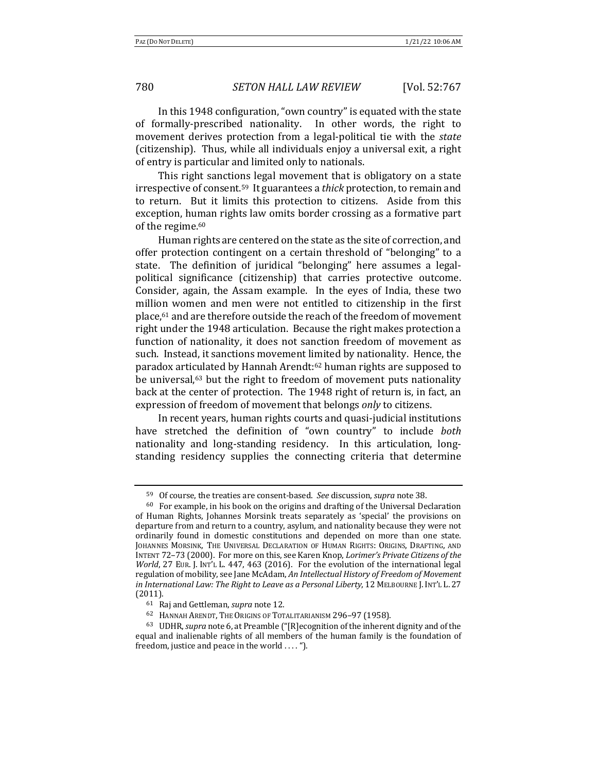780 *SETON HALL LAW REVIEW* [Vol. 52:767

In this 1948 configuration, "own country" is equated with the state of formally-prescribed nationality. In other words, the right to movement derives protection from a legal-political tie with the *state* (citizenship). Thus, while all individuals enjoy a universal exit, a right of entry is particular and limited only to nationals.

This right sanctions legal movement that is obligatory on a state irrespective of consent.<sup>59</sup> It guarantees a *thick* protection, to remain and to return. But it limits this protection to citizens. Aside from this exception, human rights law omits border crossing as a formative part of the regime.<sup>60</sup>

Human rights are centered on the state as the site of correction, and offer protection contingent on a certain threshold of "belonging" to a state. The definition of juridical "belonging" here assumes a legalpolitical significance (citizenship) that carries protective outcome. Consider, again, the Assam example. In the eyes of India, these two million women and men were not entitled to citizenship in the first place,<sup>61</sup> and are therefore outside the reach of the freedom of movement right under the 1948 articulation. Because the right makes protection a function of nationality, it does not sanction freedom of movement as such. Instead, it sanctions movement limited by nationality. Hence, the paradox articulated by Hannah Arendt:<sup>62</sup> human rights are supposed to be universal, $63$  but the right to freedom of movement puts nationality back at the center of protection. The 1948 right of return is, in fact, an expression of freedom of movement that belongs *only* to citizens.

In recent years, human rights courts and quasi-judicial institutions have stretched the definition of "own country" to include both nationality and long-standing residency. In this articulation, longstanding residency supplies the connecting criteria that determine

<sup>59</sup> Of course, the treaties are consent-based. See discussion, *supra* note 38.

 $60$  For example, in his book on the origins and drafting of the Universal Declaration of Human Rights, Johannes Morsink treats separately as 'special' the provisions on departure from and return to a country, asylum, and nationality because they were not ordinarily found in domestic constitutions and depended on more than one state. JOHANNES MORSINK, THE UNIVERSAL DECLARATION OF HUMAN RIGHTS: ORIGINS, DRAFTING, AND INTENT 72-73 (2000). For more on this, see Karen Knop, *Lorimer's Private Citizens of the World*, 27 EUR. J. INT'L L. 447, 463 (2016). For the evolution of the international legal regulation of mobility, see Jane McAdam, An Intellectual History of Freedom of Movement *in* International Law: The Right to Leave as a Personal Liberty, 12 MELBOURNE J. INT'L L. 27 (2011).

<sup>61</sup> Raj and Gettleman, *supra* note 12.

<sup>62</sup> HANNAH ARENDT, THE ORIGINS OF TOTALITARIANISM 296-97 (1958).

<sup>63</sup> UDHR, *supra* note 6, at Preamble ("[R]ecognition of the inherent dignity and of the equal and inalienable rights of all members of the human family is the foundation of freedom, justice and peace in the world  $\dots$  ").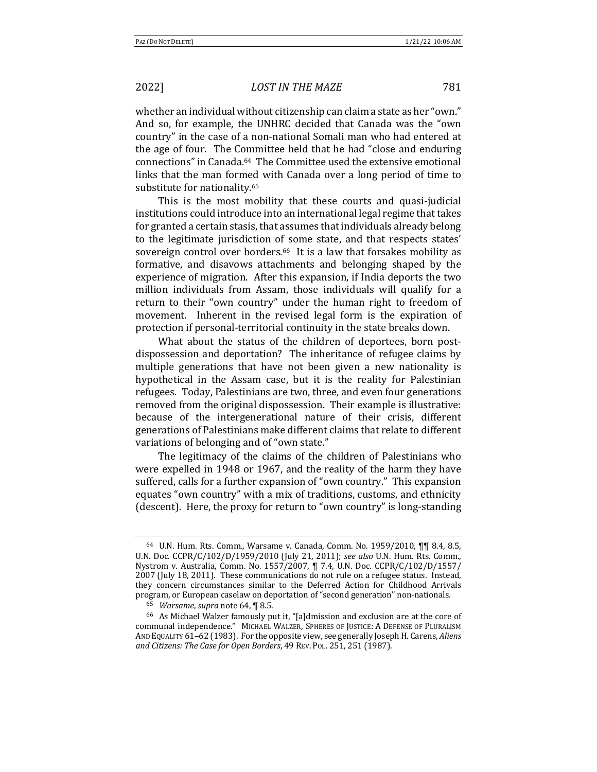whether an individual without citizenship can claim a state as her "own." And so, for example, the UNHRC decided that Canada was the "own country" in the case of a non-national Somali man who had entered at the age of four. The Committee held that he had "close and enduring connections" in Canada.<sup>64</sup> The Committee used the extensive emotional links that the man formed with Canada over a long period of time to substitute for nationality.<sup>65</sup>

This is the most mobility that these courts and quasi-judicial institutions could introduce into an international legal regime that takes for granted a certain stasis, that assumes that individuals already belong to the legitimate jurisdiction of some state, and that respects states' sovereign control over borders.<sup>66</sup> It is a law that forsakes mobility as formative, and disavows attachments and belonging shaped by the experience of migration. After this expansion, if India deports the two million individuals from Assam, those individuals will qualify for a return to their "own country" under the human right to freedom of movement. Inherent in the revised legal form is the expiration of protection if personal-territorial continuity in the state breaks down.

What about the status of the children of deportees, born postdispossession and deportation? The inheritance of refugee claims by multiple generations that have not been given a new nationality is hypothetical in the Assam case, but it is the reality for Palestinian refugees. Today, Palestinians are two, three, and even four generations removed from the original dispossession. Their example is illustrative: because of the intergenerational nature of their crisis, different generations of Palestinians make different claims that relate to different variations of belonging and of "own state."

The legitimacy of the claims of the children of Palestinians who were expelled in 1948 or 1967, and the reality of the harm they have suffered, calls for a further expansion of "own country." This expansion equates "own country" with a mix of traditions, customs, and ethnicity (descent). Here, the proxy for return to "own country" is long-standing

<sup>64</sup> U.N. Hum. Rts. Comm., Warsame v. Canada, Comm. No. 1959/2010, ¶¶ 8.4, 8.5, U.N. Doc. CCPR/C/102/D/1959/2010 (July 21, 2011); see also U.N. Hum. Rts. Comm., Nystrom v. Australia, Comm. No. 1557/2007, ¶ 7.4, U.N. Doc. CCPR/C/102/D/1557/ 2007 (July 18, 2011). These communications do not rule on a refugee status. Instead, they concern circumstances similar to the Deferred Action for Childhood Arrivals program, or European caselaw on deportation of "second generation" non-nationals.

<sup>&</sup>lt;sup>65</sup> *Warsame, supra* note 64, ¶ 8.5.

<sup>&</sup>lt;sup>66</sup> As Michael Walzer famously put it, "[a]dmission and exclusion are at the core of communal independence." MICHAEL WALZER, SPHERES OF JUSTICE: A DEFENSE OF PLURALISM AND EQUALITY 61-62 (1983). For the opposite view, see generally Joseph H. Carens, *Aliens and Citizens: The Case for Open Borders*, 49 REV. POL. 251, 251 (1987).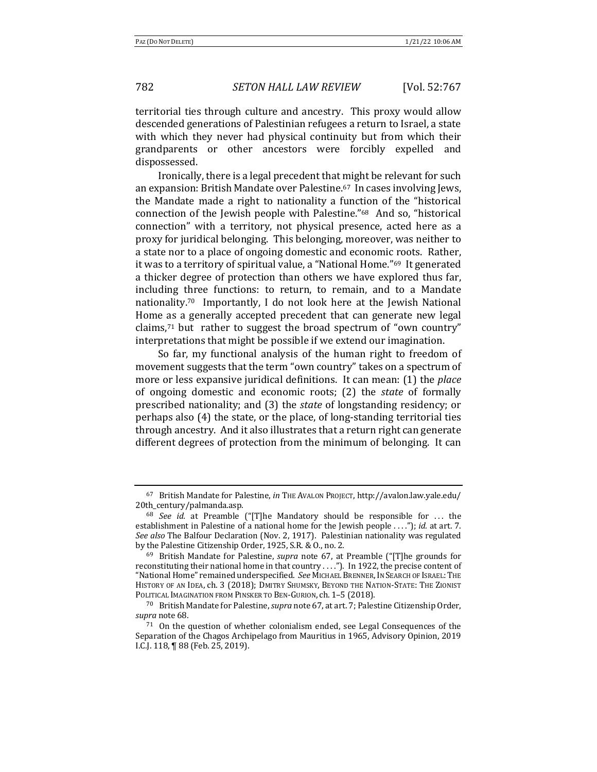territorial ties through culture and ancestry. This proxy would allow descended generations of Palestinian refugees a return to Israel, a state with which they never had physical continuity but from which their grandparents or other ancestors were forcibly expelled and dispossessed.

Ironically, there is a legal precedent that might be relevant for such an expansion: British Mandate over Palestine.<sup>67</sup> In cases involving Jews, the Mandate made a right to nationality a function of the "historical connection of the Jewish people with Palestine."<sup>68</sup> And so, "historical connection" with a territory, not physical presence, acted here as a proxy for juridical belonging. This belonging, moreover, was neither to a state nor to a place of ongoing domestic and economic roots. Rather, it was to a territory of spiritual value, a "National Home."<sup>69</sup> It generated a thicker degree of protection than others we have explored thus far, including three functions: to return, to remain, and to a Mandate nationality.<sup>70</sup> Importantly, I do not look here at the Jewish National Home as a generally accepted precedent that can generate new legal claims,<sup>71</sup> but rather to suggest the broad spectrum of "own country" interpretations that might be possible if we extend our imagination.

So far, my functional analysis of the human right to freedom of movement suggests that the term "own country" takes on a spectrum of more or less expansive juridical definitions. It can mean: (1) the *place* of ongoing domestic and economic roots; (2) the *state* of formally prescribed nationality; and (3) the *state* of longstanding residency; or perhaps also  $(4)$  the state, or the place, of long-standing territorial ties through ancestry. And it also illustrates that a return right can generate different degrees of protection from the minimum of belonging. It can

<sup>67</sup> British Mandate for Palestine, *in* THE AVALON PROJECT, http://avalon.law.yale.edu/ 20th\_century/palmanda.asp.

<sup>&</sup>lt;sup>68</sup> *See id.* at Preamble ("[T]he Mandatory should be responsible for ... the establishment in Palestine of a national home for the Jewish people ...."); *id.* at art. 7. See also The Balfour Declaration (Nov. 2, 1917). Palestinian nationality was regulated by the Palestine Citizenship Order, 1925, S.R. & O., no. 2.

<sup>&</sup>lt;sup>69</sup> British Mandate for Palestine, *supra* note 67, at Preamble ("[T]he grounds for reconstituting their national home in that country ...."). In 1922, the precise content of "National Home" remained underspecified. See MICHAEL BRENNER, IN SEARCH OF ISRAEL: THE HISTORY OF AN IDEA, ch. 3 (2018); DMITRY SHUMSKY, BEYOND THE NATION-STATE: THE ZIONIST POLITICAL IMAGINATION FROM PINSKER TO BEN-GURION, ch. 1-5 (2018).

<sup>&</sup>lt;sup>70</sup> British Mandate for Palestine, *supra* note 67, at art. 7; Palestine Citizenship Order, supra note 68.

 $71$  On the question of whether colonialism ended, see Legal Consequences of the Separation of the Chagos Archipelago from Mauritius in 1965, Advisory Opinion, 2019 I.C.J. 118, ¶ 88 (Feb. 25, 2019).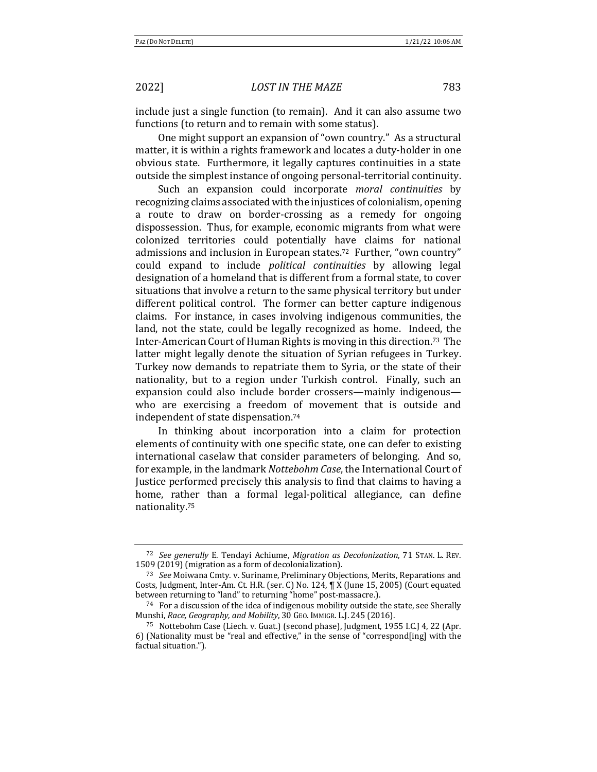include just a single function (to remain). And it can also assume two functions (to return and to remain with some status).

One might support an expansion of "own country." As a structural matter, it is within a rights framework and locates a duty-holder in one obvious state. Furthermore, it legally captures continuities in a state outside the simplest instance of ongoing personal-territorial continuity.

Such an expansion could incorporate *moral continuities* by recognizing claims associated with the injustices of colonialism, opening a route to draw on border-crossing as a remedy for ongoing dispossession. Thus, for example, economic migrants from what were colonized territories could potentially have claims for national admissions and inclusion in European states.<sup>72</sup> Further, "own country" could expand to include *political continuities* by allowing legal designation of a homeland that is different from a formal state, to cover situations that involve a return to the same physical territory but under different political control. The former can better capture indigenous claims. For instance, in cases involving indigenous communities, the land, not the state, could be legally recognized as home. Indeed, the Inter-American Court of Human Rights is moving in this direction.<sup>73</sup> The latter might legally denote the situation of Syrian refugees in Turkey. Turkey now demands to repatriate them to Syria, or the state of their nationality, but to a region under Turkish control. Finally, such an expansion could also include border crossers—mainly indigenous who are exercising a freedom of movement that is outside and independent of state dispensation.<sup>74</sup>

In thinking about incorporation into a claim for protection elements of continuity with one specific state, one can defer to existing international caselaw that consider parameters of belonging. And so, for example, in the landmark *Nottebohm Case*, the International Court of Justice performed precisely this analysis to find that claims to having a home, rather than a formal legal-political allegiance, can define nationality.75

<sup>72</sup> *See generally* E. Tendayi Achiume, *Migration as Decolonization*, 71 STAN. L. REV. 1509 (2019) (migration as a form of decolonialization).

<sup>73</sup> *See* Moiwana Cmty. v. Suriname, Preliminary Objections, Merits, Reparations and Costs, Judgment, Inter-Am. Ct. H.R. (ser. C) No. 124,  $\P$  X (June 15, 2005) (Court equated between returning to "land" to returning "home" post-massacre.).

 $74$  For a discussion of the idea of indigenous mobility outside the state, see Sherally Munshi, Race, Geography, and Mobility, 30 GEO. IMMIGR. L.J. 245 (2016).

<sup>75</sup> Nottebohm Case (Liech. v. Guat.) (second phase), Judgment, 1955 I.C.J 4, 22 (Apr. 6) (Nationality must be "real and effective," in the sense of "correspond[ing] with the factual situation.").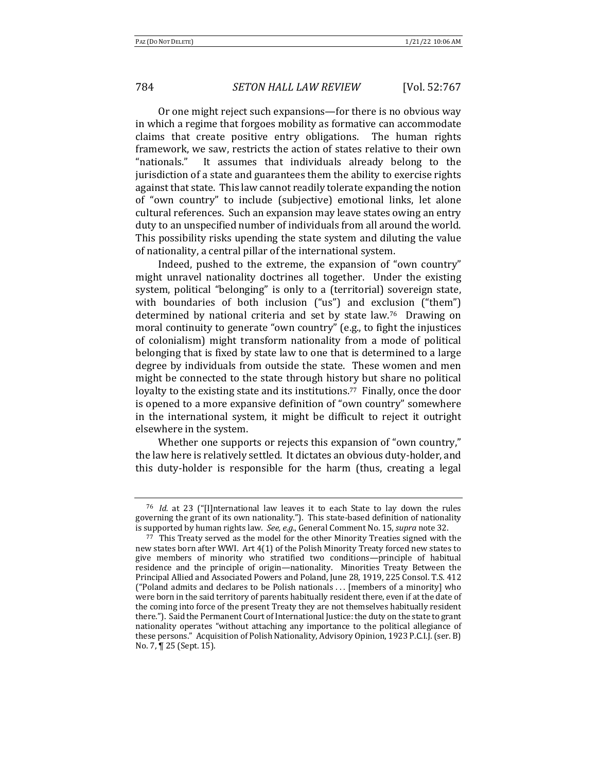Or one might reject such expansions—for there is no obvious way in which a regime that forgoes mobility as formative can accommodate claims that create positive entry obligations. The human rights framework, we saw, restricts the action of states relative to their own "nationals." It assumes that individuals already belong to the jurisdiction of a state and guarantees them the ability to exercise rights against that state. This law cannot readily tolerate expanding the notion of "own country" to include (subjective) emotional links, let alone cultural references. Such an expansion may leave states owing an entry duty to an unspecified number of individuals from all around the world. This possibility risks upending the state system and diluting the value of nationality, a central pillar of the international system.

Indeed, pushed to the extreme, the expansion of "own country" might unravel nationality doctrines all together. Under the existing system, political "belonging" is only to a (territorial) sovereign state, with boundaries of both inclusion  $("us")$  and exclusion  $("them")$ determined by national criteria and set by state law.<sup>76</sup> Drawing on moral continuity to generate "own country"  $(e.g., to fight the injuries$ of colonialism) might transform nationality from a mode of political belonging that is fixed by state law to one that is determined to a large degree by individuals from outside the state. These women and men might be connected to the state through history but share no political loyalty to the existing state and its institutions.<sup>77</sup> Finally, once the door is opened to a more expansive definition of "own country" somewhere in the international system, it might be difficult to reject it outright elsewhere in the system.

Whether one supports or rejects this expansion of "own country," the law here is relatively settled. It dictates an obvious duty-holder, and this duty-holder is responsible for the harm (thus, creating a legal

<sup>&</sup>lt;sup>76</sup> *Id.* at 23 ("[I]nternational law leaves it to each State to lay down the rules governing the grant of its own nationality."). This state-based definition of nationality is supported by human rights law. See, e.g., General Comment No. 15, *supra* note 32.

 $77$  This Treaty served as the model for the other Minority Treaties signed with the new states born after WWI. Art 4(1) of the Polish Minority Treaty forced new states to give members of minority who stratified two conditions—principle of habitual residence and the principle of origin-nationality. Minorities Treaty Between the Principal Allied and Associated Powers and Poland, June 28, 1919, 225 Consol. T.S. 412 ("Poland admits and declares to be Polish nationals ... [members of a minority] who were born in the said territory of parents habitually resident there, even if at the date of the coming into force of the present Treaty they are not themselves habitually resident there."). Said the Permanent Court of International Justice: the duty on the state to grant nationality operates "without attaching any importance to the political allegiance of these persons." Acquisition of Polish Nationality, Advisory Opinion, 1923 P.C.I.J. (ser. B) No. 7, ¶ 25 (Sept. 15).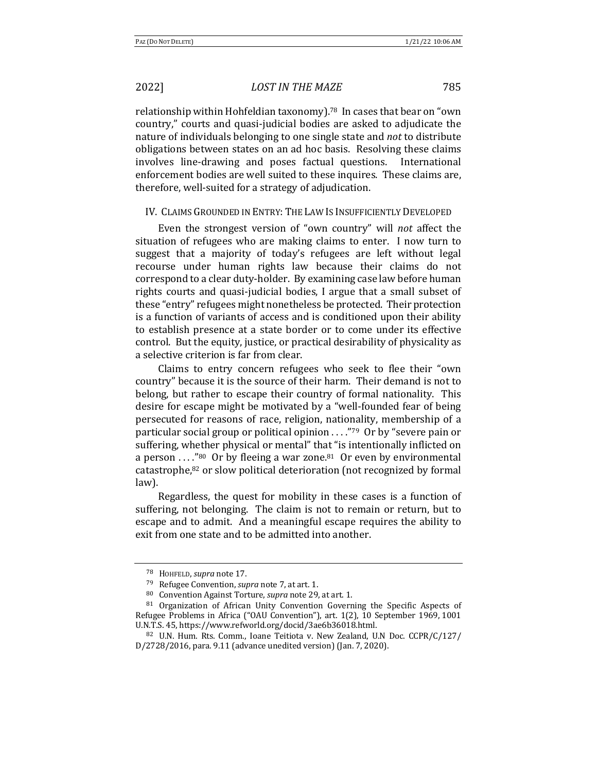relationship within Hohfeldian taxonomy).<sup>78</sup> In cases that bear on "own country," courts and quasi-judicial bodies are asked to adjudicate the nature of individuals belonging to one single state and *not* to distribute obligations between states on an ad hoc basis. Resolving these claims involves line-drawing and poses factual questions. International enforcement bodies are well suited to these inquires. These claims are, therefore, well-suited for a strategy of adjudication.

### IV. CLAIMS GROUNDED IN ENTRY: THE LAW IS INSUFFICIENTLY DEVELOPED

Even the strongest version of "own country" will *not* affect the situation of refugees who are making claims to enter. I now turn to suggest that a majority of today's refugees are left without legal recourse under human rights law because their claims do not correspond to a clear duty-holder. By examining case law before human rights courts and quasi-judicial bodies, I argue that a small subset of these "entry" refugees might nonetheless be protected. Their protection is a function of variants of access and is conditioned upon their ability to establish presence at a state border or to come under its effective control. But the equity, justice, or practical desirability of physicality as a selective criterion is far from clear.

Claims to entry concern refugees who seek to flee their "own country" because it is the source of their harm. Their demand is not to belong, but rather to escape their country of formal nationality. This desire for escape might be motivated by a "well-founded fear of being persecuted for reasons of race, religion, nationality, membership of a particular social group or political opinion  $\dots$ "<sup>79</sup> Or by "severe pain or suffering, whether physical or mental" that "is intentionally inflicted on a person  $\ldots$ "<sup>80</sup> Or by fleeing a war zone.<sup>81</sup> Or even by environmental catastrophe, $82$  or slow political deterioration (not recognized by formal law).

Regardless, the quest for mobility in these cases is a function of suffering, not belonging. The claim is not to remain or return, but to escape and to admit. And a meaningful escape requires the ability to exit from one state and to be admitted into another.

<sup>78</sup> HOHFELD, *supra* note 17.

<sup>79</sup> Refugee Convention, *supra* note 7, at art. 1.

<sup>80</sup> Convention Against Torture, *supra* note 29, at art. 1.

 $81$  Organization of African Unity Convention Governing the Specific Aspects of Refugee Problems in Africa ("OAU Convention"), art. 1(2), 10 September 1969, 1001 U.N.T.S. 45, https://www.refworld.org/docid/3ae6b36018.html.

 $82$  U.N. Hum. Rts. Comm., Ioane Teitiota v. New Zealand, U.N Doc. CCPR/C/127/  $D/2728/2016$ , para.  $9.11$  (advance unedited version) (Jan. 7, 2020).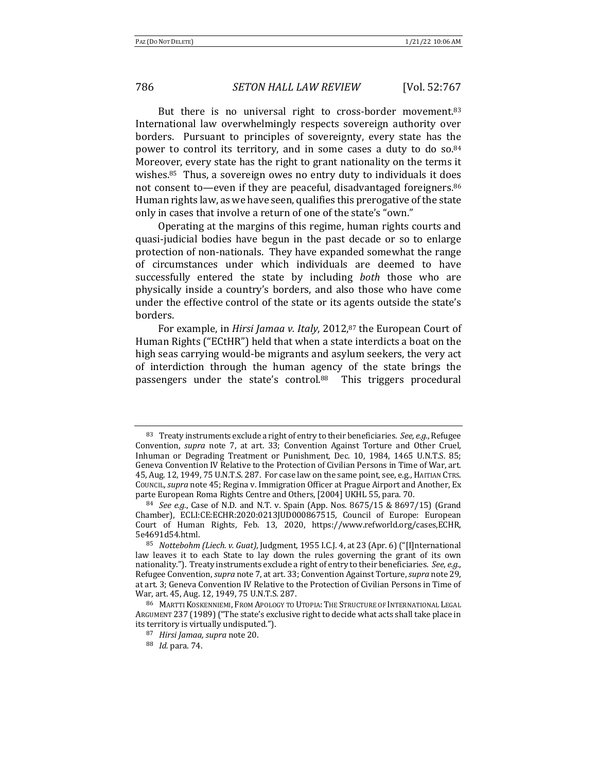But there is no universal right to cross-border movement.<sup>83</sup> International law overwhelmingly respects sovereign authority over borders. Pursuant to principles of sovereignty, every state has the power to control its territory, and in some cases a duty to do  $\text{so.}^{84}$ Moreover, every state has the right to grant nationality on the terms it wishes. $85$  Thus, a sovereign owes no entry duty to individuals it does not consent to—even if they are peaceful, disadvantaged foreigners.<sup>86</sup> Human rights law, as we have seen, qualifies this prerogative of the state only in cases that involve a return of one of the state's "own."

Operating at the margins of this regime, human rights courts and quasi-judicial bodies have begun in the past decade or so to enlarge protection of non-nationals. They have expanded somewhat the range of circumstances under which individuals are deemed to have successfully entered the state by including *both* those who are physically inside a country's borders, and also those who have come under the effective control of the state or its agents outside the state's borders.

For example, in *Hirsi Jamaa v. Italy*, 2012,<sup>87</sup> the European Court of Human Rights ("ECtHR") held that when a state interdicts a boat on the high seas carrying would-be migrants and asylum seekers, the very act of interdiction through the human agency of the state brings the passengers under the state's control.88 This triggers procedural

 $83$  Treaty instruments exclude a right of entry to their beneficiaries. *See, e.g.*, Refugee Convention, *supra* note 7, at art. 33; Convention Against Torture and Other Cruel, Inhuman or Degrading Treatment or Punishment, Dec. 10, 1984, 1465 U.N.T.S. 85; Geneva Convention IV Relative to the Protection of Civilian Persons in Time of War, art. 45, Aug. 12, 1949, 75 U.N.T.S. 287. For case law on the same point, see, e.g., HAITIAN CTRS. COUNCIL, *supra* note 45; Regina v. Immigration Officer at Prague Airport and Another, Ex parte European Roma Rights Centre and Others, [2004] UKHL 55, para. 70.

<sup>84</sup> *See e.g.*, Case of N.D. and N.T. v. Spain (App. Nos. 8675/15 & 8697/15) (Grand Chamber), ECLI:CE:ECHR:2020:0213JUD000867515, Council of Europe: European Court of Human Rights, Feb. 13, 2020, https://www.refworld.org/cases,ECHR, 5e4691d54.html.

<sup>&</sup>lt;sup>85</sup> *Nottebohm (Liech. v. Guat)*, Judgment, 1955 I.C.J. 4, at 23 (Apr. 6) ("[I]nternational law leaves it to each State to lay down the rules governing the grant of its own nationality."). Treaty instruments exclude a right of entry to their beneficiaries. See, e.g., Refugee Convention, *supra* note 7, at art. 33; Convention Against Torture, *supra* note 29, at art. 3; Geneva Convention IV Relative to the Protection of Civilian Persons in Time of War, art. 45, Aug. 12, 1949, 75 U.N.T.S. 287.

<sup>86</sup> MARTTI KOSKENNIEMI, FROM APOLOGY TO UTOPIA: THE STRUCTURE OF INTERNATIONAL LEGAL ARGUMENT 237 (1989) ("The state's exclusive right to decide what acts shall take place in its territory is virtually undisputed.").

<sup>&</sup>lt;sup>87</sup> *Hirsi Jamaa, supra* note 20.

<sup>88</sup> *Id.* para. 74.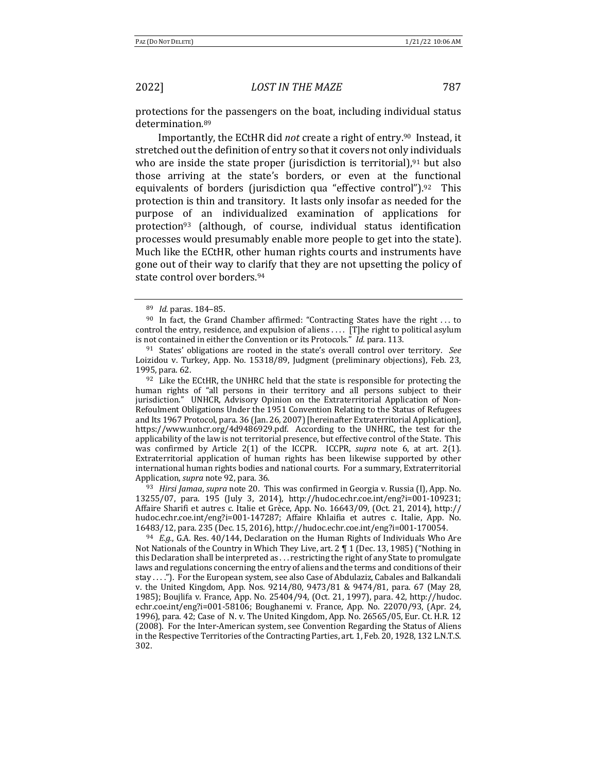protections for the passengers on the boat, including individual status determination.89

Importantly, the ECtHR did *not* create a right of entry.<sup>90</sup> Instead, it stretched out the definition of entry so that it covers not only individuals who are inside the state proper (jurisdiction is territorial), $91$  but also those arriving at the state's borders, or even at the functional equivalents of borders (jurisdiction qua "effective control").<sup>92</sup> This protection is thin and transitory. It lasts only insofar as needed for the purpose of an individualized examination of applications for protection<sup>93</sup> (although, of course, individual status identification processes would presumably enable more people to get into the state). Much like the ECtHR, other human rights courts and instruments have gone out of their way to clarify that they are not upsetting the policy of state control over borders.<sup>94</sup>

 $92$  Like the ECtHR, the UNHRC held that the state is responsible for protecting the human rights of "all persons in their territory and all persons subject to their jurisdiction." UNHCR, Advisory Opinion on the Extraterritorial Application of Non-Refoulment Obligations Under the 1951 Convention Relating to the Status of Refugees and Its 1967 Protocol, para. 36 (Jan. 26, 2007) [hereinafter Extraterritorial Application], https://www.unhcr.org/4d9486929.pdf. According to the UNHRC, the test for the applicability of the law is not territorial presence, but effective control of the State. This was confirmed by Article 2(1) of the ICCPR. ICCPR, *supra* note 6, at art. 2(1). Extraterritorial application of human rights has been likewise supported by other international human rights bodies and national courts. For a summary, Extraterritorial Application, *supra* note 92, para. 36.

<sup>93</sup> *Hirsi Jamaa, supra* note 20. This was confirmed in Georgia v. Russia (I), App. No. 13255/07, para. 195 (July 3, 2014), http://hudoc.echr.coe.int/eng?i=001-109231; Affaire Sharifi et autres c. Italie et Grèce, App. No. 16643/09, (Oct. 21, 2014), http:// hudoc.echr.coe.int/eng?i=001-147287; Affaire Khlaifia et autres c. Italie, App. No. 16483/12, para. 235 (Dec. 15, 2016), http://hudoc.echr.coe.int/eng?i=001-170054.

 $94$  *E.g.*, G.A. Res.  $40/144$ , Declaration on the Human Rights of Individuals Who Are Not Nationals of the Country in Which They Live, art.  $2 \nparallel 1$  (Dec. 13, 1985) ("Nothing in this Declaration shall be interpreted as  $\dots$  restricting the right of any State to promulgate laws and regulations concerning the entry of aliens and the terms and conditions of their stay . . . ."). For the European system, see also Case of Abdulaziz, Cabales and Balkandali v. the United Kingdom, App. Nos. 9214/80, 9473/81 & 9474/81, para. 67 (May 28, 1985); Boujlifa v. France, App. No. 25404/94, (Oct. 21, 1997), para. 42, http://hudoc. echr.coe.int/eng?i=001-58106; Boughanemi v. France, App. No. 22070/93, (Apr. 24, 1996), para. 42; Case of N. v. The United Kingdom, App. No. 26565/05, Eur. Ct. H.R. 12 (2008). For the Inter-American system, see Convention Regarding the Status of Aliens in the Respective Territories of the Contracting Parties, art. 1, Feb. 20, 1928, 132 L.N.T.S. 302.

<sup>89</sup> *Id.* paras. 184-85.

 $90$  In fact, the Grand Chamber affirmed: "Contracting States have the right ... to control the entry, residence, and expulsion of aliens . . . . [T]he right to political asylum is not contained in either the Convention or its Protocols." Id. para. 113.

<sup>&</sup>lt;sup>91</sup> States' obligations are rooted in the state's overall control over territory. See Loizidou v. Turkey, App. No. 15318/89, Judgment (preliminary objections), Feb. 23, 1995, para. 62.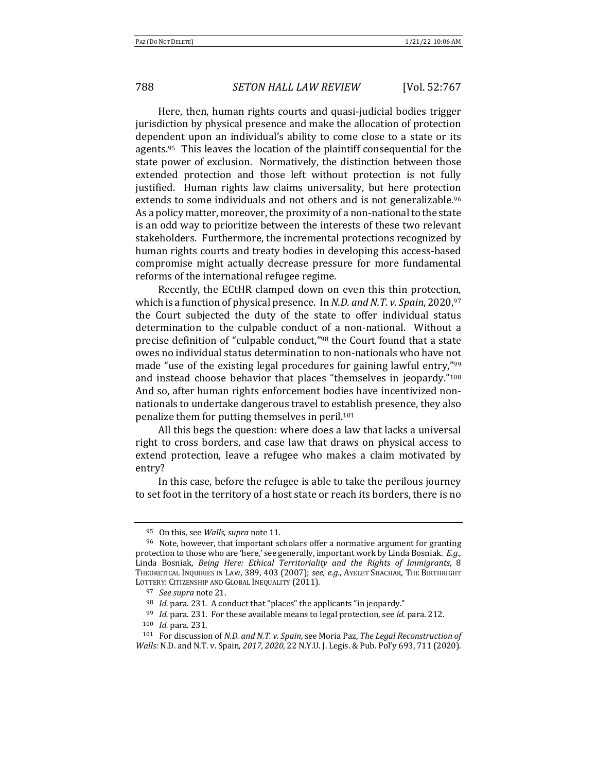Here, then, human rights courts and quasi-judicial bodies trigger jurisdiction by physical presence and make the allocation of protection dependent upon an individual's ability to come close to a state or its agents.<sup>95</sup> This leaves the location of the plaintiff consequential for the state power of exclusion. Normatively, the distinction between those extended protection and those left without protection is not fully justified. Human rights law claims universality, but here protection extends to some individuals and not others and is not generalizable.<sup>96</sup> As a policy matter, moreover, the proximity of a non-national to the state is an odd way to prioritize between the interests of these two relevant stakeholders. Furthermore, the incremental protections recognized by human rights courts and treaty bodies in developing this access-based compromise might actually decrease pressure for more fundamental reforms of the international refugee regime.

Recently, the ECtHR clamped down on even this thin protection, which is a function of physical presence. In *N.D. and N.T. v. Spain*, 2020,<sup>97</sup> the Court subjected the duty of the state to offer individual status determination to the culpable conduct of a non-national. Without a precise definition of "culpable conduct," $98$  the Court found that a state owes no individual status determination to non-nationals who have not made "use of the existing legal procedures for gaining lawful entry,"<sup>99</sup> and instead choose behavior that places "themselves in jeopardy."<sup>100</sup> And so, after human rights enforcement bodies have incentivized nonnationals to undertake dangerous travel to establish presence, they also penalize them for putting themselves in peril.<sup>101</sup>

All this begs the question: where does a law that lacks a universal right to cross borders, and case law that draws on physical access to extend protection, leave a refugee who makes a claim motivated by entry?

In this case, before the refugee is able to take the perilous journey to set foot in the territory of a host state or reach its borders, there is no

<sup>&</sup>lt;sup>95</sup> On this, see *Walls*, *supra* note 11.

 $96$  Note, however, that important scholars offer a normative argument for granting protection to those who are 'here,' see generally, important work by Linda Bosniak. *E.g.*, Linda Bosniak, *Being Here: Ethical Territoriality and the Rights of Immigrants*, 8 THEORETICAL INQUIRIES IN LAW, 389, 403 (2007); see, e.g., AYELET SHACHAR, THE BIRTHRIGHT LOTTERY: CITIZENSHIP AND GLOBAL INEQUALITY (2011).

<sup>&</sup>lt;sup>97</sup> *See supra* note 21.

<sup>&</sup>lt;sup>98</sup> *Id.* para. 231. A conduct that "places" the applicants "in jeopardy."

<sup>&</sup>lt;sup>99</sup> *Id.* para. 231. For these available means to legal protection, see *id.* para. 212.

<sup>100</sup> *Id.* para. 231.

<sup>&</sup>lt;sup>101</sup> For discussion of *N.D. and N.T. v. Spain*, see Moria Paz, *The Legal Reconstruction of Walls:* N.D. and N.T. v. Spain, 2017, 2020, 22 N.Y.U. J. Legis. & Pub. Pol'y 693, 711 (2020).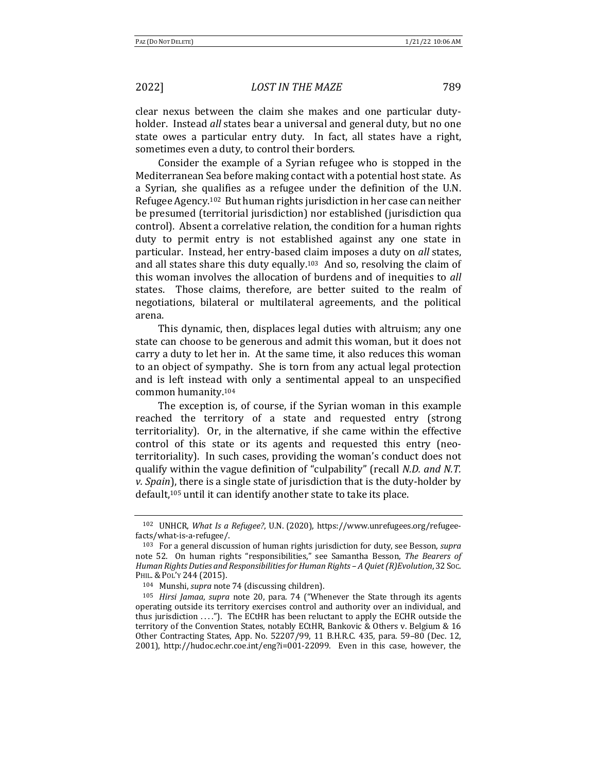clear nexus between the claim she makes and one particular dutyholder. Instead *all* states bear a universal and general duty, but no one state owes a particular entry duty. In fact, all states have a right, sometimes even a duty, to control their borders.

Consider the example of a Syrian refugee who is stopped in the Mediterranean Sea before making contact with a potential host state. As a Syrian, she qualifies as a refugee under the definition of the U.N. Refugee Agency.<sup>102</sup> But human rights jurisdiction in her case can neither be presumed (territorial jurisdiction) nor established (jurisdiction qua control). Absent a correlative relation, the condition for a human rights duty to permit entry is not established against any one state in particular. Instead, her entry-based claim imposes a duty on *all* states, and all states share this duty equally.<sup>103</sup> And so, resolving the claim of this woman involves the allocation of burdens and of inequities to *all* states. Those claims, therefore, are better suited to the realm of negotiations, bilateral or multilateral agreements, and the political arena.

This dynamic, then, displaces legal duties with altruism; any one state can choose to be generous and admit this woman, but it does not carry a duty to let her in. At the same time, it also reduces this woman to an object of sympathy. She is torn from any actual legal protection and is left instead with only a sentimental appeal to an unspecified common humanity.<sup>104</sup>

The exception is, of course, if the Syrian woman in this example reached the territory of a state and requested entry (strong territoriality). Or, in the alternative, if she came within the effective control of this state or its agents and requested this entry (neoterritoriality). In such cases, providing the woman's conduct does not qualify within the vague definition of "culpability" (recall *N.D. and N.T. v.* Spain), there is a single state of jurisdiction that is the duty-holder by default,<sup>105</sup> until it can identify another state to take its place.

<sup>&</sup>lt;sup>102</sup> UNHCR, *What Is a Refugee?*, U.N. (2020), https://www.unrefugees.org/refugeefacts/what-is-a-refugee/.

<sup>&</sup>lt;sup>103</sup> For a general discussion of human rights jurisdiction for duty, see Besson, *supra* note 52. On human rights "responsibilities," see Samantha Besson, *The Bearers of Human Rights Duties and Responsibilities for Human Rights* - *A* Quiet (R)Evolution, 32 Soc. PHIL. & POL'Y 244 (2015).

<sup>&</sup>lt;sup>104</sup> Munshi, *supra* note 74 (discussing children).

<sup>&</sup>lt;sup>105</sup> *Hirsi Jamaa, supra* note 20, para. 74 ("Whenever the State through its agents operating outside its territory exercises control and authority over an individual, and thus jurisdiction  $\dots$ "). The ECtHR has been reluctant to apply the ECHR outside the territory of the Convention States, notably ECtHR, Bankovic & Others v. Belgium & 16 Other Contracting States, App. No. 52207/99, 11 B.H.R.C. 435, para. 59-80 (Dec. 12, 2001), http://hudoc.echr.coe.int/eng?i=001-22099. Even in this case, however, the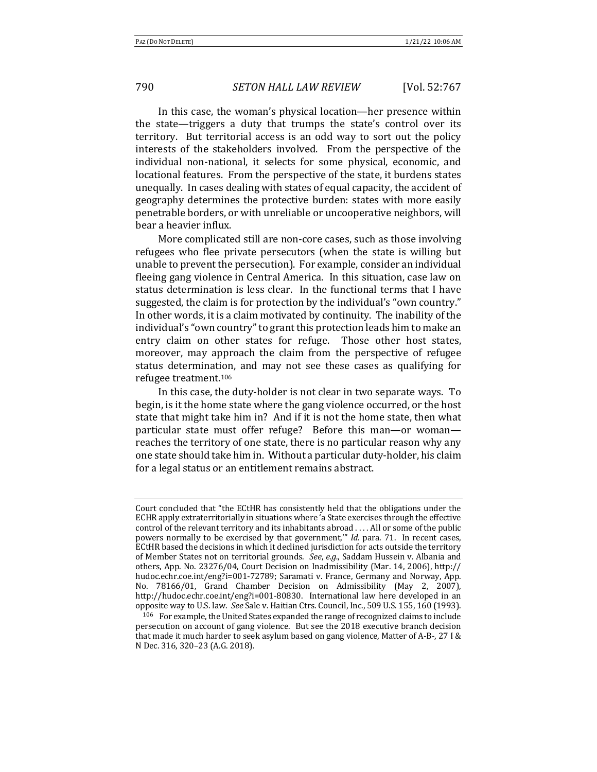In this case, the woman's physical location—her presence within the state—triggers a duty that trumps the state's control over its territory. But territorial access is an odd way to sort out the policy interests of the stakeholders involved. From the perspective of the individual non-national, it selects for some physical, economic, and locational features. From the perspective of the state, it burdens states unequally. In cases dealing with states of equal capacity, the accident of geography determines the protective burden: states with more easily penetrable borders, or with unreliable or uncooperative neighbors, will bear a heavier influx.

More complicated still are non-core cases, such as those involving refugees who flee private persecutors (when the state is willing but unable to prevent the persecution). For example, consider an individual fleeing gang violence in Central America. In this situation, case law on status determination is less clear. In the functional terms that I have suggested, the claim is for protection by the individual's "own country." In other words, it is a claim motivated by continuity. The inability of the individual's "own country" to grant this protection leads him to make an entry claim on other states for refuge. Those other host states, moreover, may approach the claim from the perspective of refugee status determination, and may not see these cases as qualifying for refugee treatment.<sup>106</sup>

In this case, the duty-holder is not clear in two separate ways. To begin, is it the home state where the gang violence occurred, or the host state that might take him in? And if it is not the home state, then what particular state must offer refuge? Before this man—or woman reaches the territory of one state, there is no particular reason why any one state should take him in. Without a particular duty-holder, his claim for a legal status or an entitlement remains abstract.

Court concluded that "the ECtHR has consistently held that the obligations under the ECHR apply extraterritorially in situations where 'a State exercises through the effective control of the relevant territory and its inhabitants abroad  $\dots$ . All or some of the public powers normally to be exercised by that government," *Id.* para. 71. In recent cases, ECtHR based the decisions in which it declined jurisdiction for acts outside the territory of Member States not on territorial grounds. See, e.g., Saddam Hussein v. Albania and others, App. No. 23276/04, Court Decision on Inadmissibility (Mar. 14, 2006), http:// hudoc.echr.coe.int/eng?i=001-72789; Saramati v. France, Germany and Norway, App. No. 78166/01, Grand Chamber Decision on Admissibility (May 2, 2007), http://hudoc.echr.coe.int/eng?i=001-80830. International law here developed in an opposite way to U.S. law. See Sale v. Haitian Ctrs. Council, Inc., 509 U.S. 155, 160 (1993).

<sup>106</sup> For example, the United States expanded the range of recognized claims to include persecution on account of gang violence. But see the 2018 executive branch decision that made it much harder to seek asylum based on gang violence, Matter of A-B-, 27 I & N Dec. 316, 320-23 (A.G. 2018).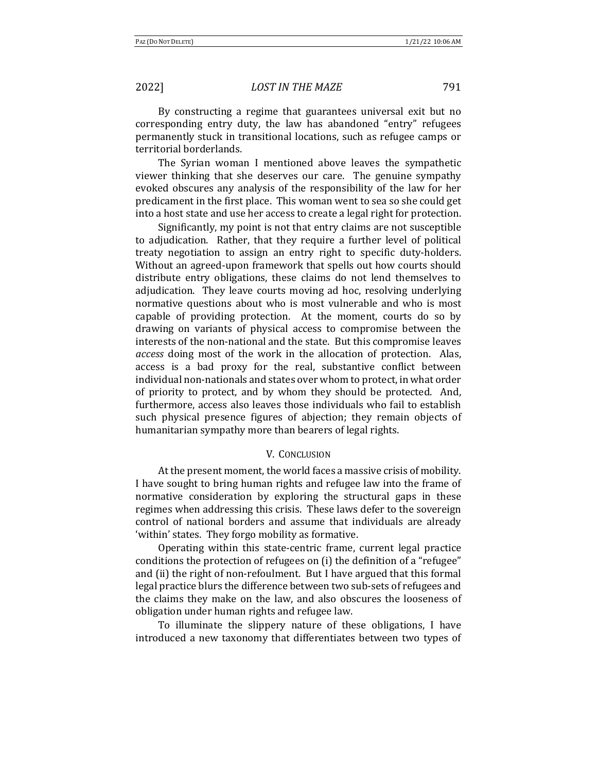By constructing a regime that guarantees universal exit but no corresponding entry duty, the law has abandoned "entry" refugees permanently stuck in transitional locations, such as refugee camps or territorial borderlands.

The Syrian woman I mentioned above leaves the sympathetic viewer thinking that she deserves our care. The genuine sympathy evoked obscures any analysis of the responsibility of the law for her predicament in the first place. This woman went to sea so she could get into a host state and use her access to create a legal right for protection.

Significantly, my point is not that entry claims are not susceptible to adjudication. Rather, that they require a further level of political treaty negotiation to assign an entry right to specific duty-holders. Without an agreed-upon framework that spells out how courts should distribute entry obligations, these claims do not lend themselves to adjudication. They leave courts moving ad hoc, resolving underlying normative questions about who is most vulnerable and who is most capable of providing protection. At the moment, courts do so by drawing on variants of physical access to compromise between the interests of the non-national and the state. But this compromise leaves *access* doing most of the work in the allocation of protection. Alas, access is a bad proxy for the real, substantive conflict between individual non-nationals and states over whom to protect, in what order of priority to protect, and by whom they should be protected. And, furthermore, access also leaves those individuals who fail to establish such physical presence figures of abjection; they remain objects of humanitarian sympathy more than bearers of legal rights.

### **V. CONCLUSION**

At the present moment, the world faces a massive crisis of mobility. I have sought to bring human rights and refugee law into the frame of normative consideration by exploring the structural gaps in these regimes when addressing this crisis. These laws defer to the sovereign control of national borders and assume that individuals are already 'within' states. They forgo mobility as formative.

Operating within this state-centric frame, current legal practice conditions the protection of refugees on (i) the definition of a "refugee" and (ii) the right of non-refoulment. But I have argued that this formal legal practice blurs the difference between two sub-sets of refugees and the claims they make on the law, and also obscures the looseness of obligation under human rights and refugee law.

To illuminate the slippery nature of these obligations, I have introduced a new taxonomy that differentiates between two types of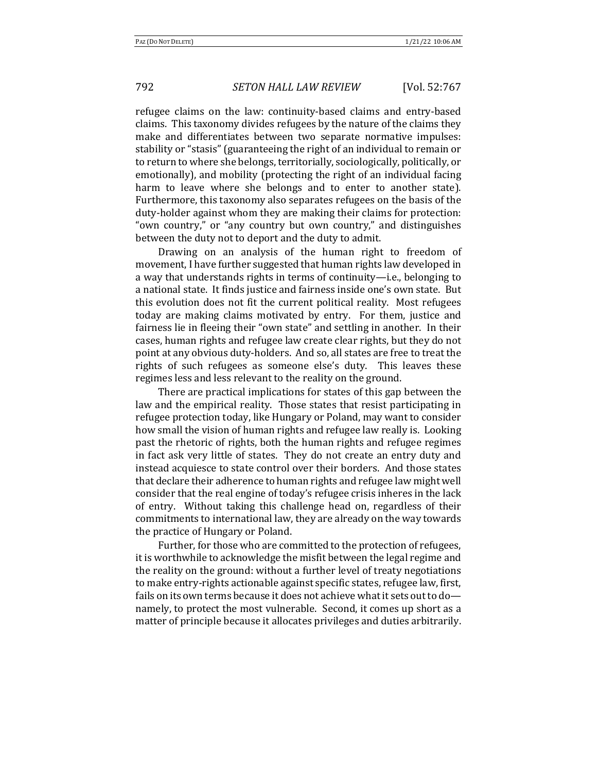refugee claims on the law: continuity-based claims and entry-based claims. This taxonomy divides refugees by the nature of the claims they make and differentiates between two separate normative impulses: stability or "stasis" (guaranteeing the right of an individual to remain or to return to where she belongs, territorially, sociologically, politically, or emotionally), and mobility (protecting the right of an individual facing harm to leave where she belongs and to enter to another state). Furthermore, this taxonomy also separates refugees on the basis of the duty-holder against whom they are making their claims for protection: "own country," or "any country but own country," and distinguishes between the duty not to deport and the duty to admit.

Drawing on an analysis of the human right to freedom of movement, I have further suggested that human rights law developed in a way that understands rights in terms of continuity—i.e., belonging to a national state. It finds justice and fairness inside one's own state. But this evolution does not fit the current political reality. Most refugees today are making claims motivated by entry. For them, justice and fairness lie in fleeing their "own state" and settling in another. In their cases, human rights and refugee law create clear rights, but they do not point at any obvious duty-holders. And so, all states are free to treat the rights of such refugees as someone else's duty. This leaves these regimes less and less relevant to the reality on the ground.

There are practical implications for states of this gap between the law and the empirical reality. Those states that resist participating in refugee protection today, like Hungary or Poland, may want to consider how small the vision of human rights and refugee law really is. Looking past the rhetoric of rights, both the human rights and refugee regimes in fact ask very little of states. They do not create an entry duty and instead acquiesce to state control over their borders. And those states that declare their adherence to human rights and refugee law might well consider that the real engine of today's refugee crisis inheres in the lack of entry. Without taking this challenge head on, regardless of their commitments to international law, they are already on the way towards the practice of Hungary or Poland.

Further, for those who are committed to the protection of refugees, it is worthwhile to acknowledge the misfit between the legal regime and the reality on the ground: without a further level of treaty negotiations to make entry-rights actionable against specific states, refugee law, first, fails on its own terms because it does not achieve what it sets out to donamely, to protect the most vulnerable. Second, it comes up short as a matter of principle because it allocates privileges and duties arbitrarily.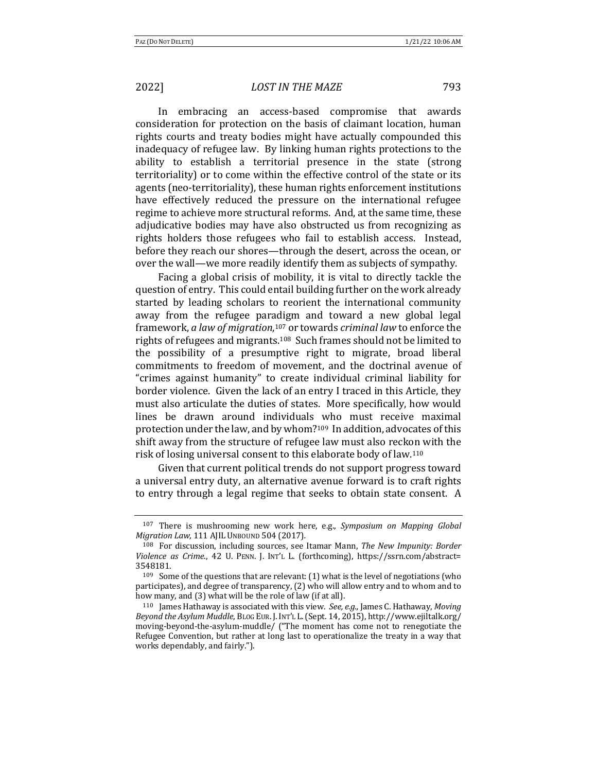In embracing an access-based compromise that awards consideration for protection on the basis of claimant location, human rights courts and treaty bodies might have actually compounded this inadequacy of refugee law. By linking human rights protections to the ability to establish a territorial presence in the state (strong territoriality) or to come within the effective control of the state or its agents (neo-territoriality), these human rights enforcement institutions have effectively reduced the pressure on the international refugee regime to achieve more structural reforms. And, at the same time, these adjudicative bodies may have also obstructed us from recognizing as rights holders those refugees who fail to establish access. Instead, before they reach our shores—through the desert, across the ocean, or over the wall—we more readily identify them as subjects of sympathy.

Facing a global crisis of mobility, it is vital to directly tackle the question of entry. This could entail building further on the work already started by leading scholars to reorient the international community away from the refugee paradigm and toward a new global legal framework, *a law of migration*,<sup>107</sup> or towards *criminal law* to enforce the rights of refugees and migrants.<sup>108</sup> Such frames should not be limited to the possibility of a presumptive right to migrate, broad liberal commitments to freedom of movement, and the doctrinal avenue of "crimes against humanity" to create individual criminal liability for border violence. Given the lack of an entry I traced in this Article, they must also articulate the duties of states. More specifically, how would lines be drawn around individuals who must receive maximal protection under the law, and by whom?<sup>109</sup> In addition, advocates of this shift away from the structure of refugee law must also reckon with the risk of losing universal consent to this elaborate body of law.<sup>110</sup>

Given that current political trends do not support progress toward a universal entry duty, an alternative avenue forward is to craft rights to entry through a legal regime that seeks to obtain state consent. A

<sup>&</sup>lt;sup>107</sup> There is mushrooming new work here, e.g., *Symposium on Mapping Global Migration Law,* 111 AJIL UNBOUND 504 (2017).

<sup>&</sup>lt;sup>108</sup> For discussion, including sources, see Itamar Mann, *The New Impunity: Border* Violence as Crime., 42 U. PENN. J. INT'L L. (forthcoming), https://ssrn.com/abstract= 3548181.

 $109$  Some of the questions that are relevant: (1) what is the level of negotiations (who participates), and degree of transparency,  $(2)$  who will allow entry and to whom and to how many, and (3) what will be the role of law (if at all).

<sup>&</sup>lt;sup>110</sup> James Hathaway is associated with this view. See, e.g., James C. Hathaway, *Moving* Beyond the Asylum Muddle, BLOG EUR. J. INT'L L. (Sept. 14, 2015), http://www.ejiltalk.org/ moving-beyond-the-asylum-muddle/ ("The moment has come not to renegotiate the Refugee Convention, but rather at long last to operationalize the treaty in a way that works dependably, and fairly.").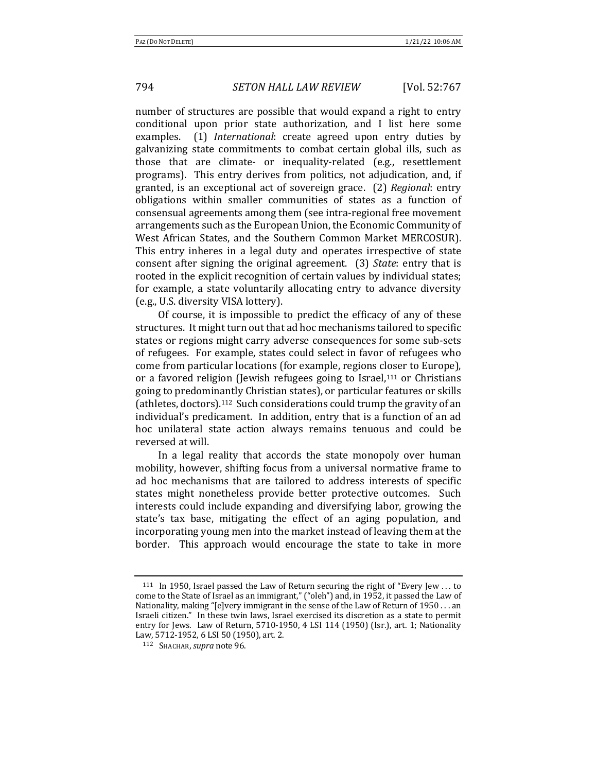number of structures are possible that would expand a right to entry conditional upon prior state authorization, and I list here some examples. (1) *International*: create agreed upon entry duties by galvanizing state commitments to combat certain global ills, such as those that are climate- or inequality-related (e.g., resettlement programs). This entry derives from politics, not adjudication, and, if granted, is an exceptional act of sovereign grace. (2) *Regional*: entry obligations within smaller communities of states as a function of consensual agreements among them (see intra-regional free movement arrangements such as the European Union, the Economic Community of West African States, and the Southern Common Market MERCOSUR). This entry inheres in a legal duty and operates irrespective of state consent after signing the original agreement. (3) *State*: entry that is rooted in the explicit recognition of certain values by individual states; for example, a state voluntarily allocating entry to advance diversity (e.g., U.S. diversity VISA lottery).

Of course, it is impossible to predict the efficacy of any of these structures. It might turn out that ad hoc mechanisms tailored to specific states or regions might carry adverse consequences for some sub-sets of refugees. For example, states could select in favor of refugees who come from particular locations (for example, regions closer to Europe), or a favored religion (Jewish refugees going to Israel, $111$  or Christians going to predominantly Christian states), or particular features or skills (athletes, doctors).<sup>112</sup> Such considerations could trump the gravity of an individual's predicament. In addition, entry that is a function of an ad hoc unilateral state action always remains tenuous and could be reversed at will.

In a legal reality that accords the state monopoly over human mobility, however, shifting focus from a universal normative frame to ad hoc mechanisms that are tailored to address interests of specific states might nonetheless provide better protective outcomes. Such interests could include expanding and diversifying labor, growing the state's tax base, mitigating the effect of an aging population, and incorporating young men into the market instead of leaving them at the border. This approach would encourage the state to take in more

 $111$  In 1950, Israel passed the Law of Return securing the right of "Every Jew ... to come to the State of Israel as an immigrant," ("oleh") and, in 1952, it passed the Law of Nationality, making "[e]very immigrant in the sense of the Law of Return of 1950 . . . an Israeli citizen." In these twin laws, Israel exercised its discretion as a state to permit entry for Jews. Law of Return,  $5710-1950$ , 4 LSI 114 (1950) (Isr.), art. 1; Nationality Law, 5712-1952, 6 LSI 50 (1950), art. 2.

<sup>112</sup> SHACHAR, *supra* note 96.